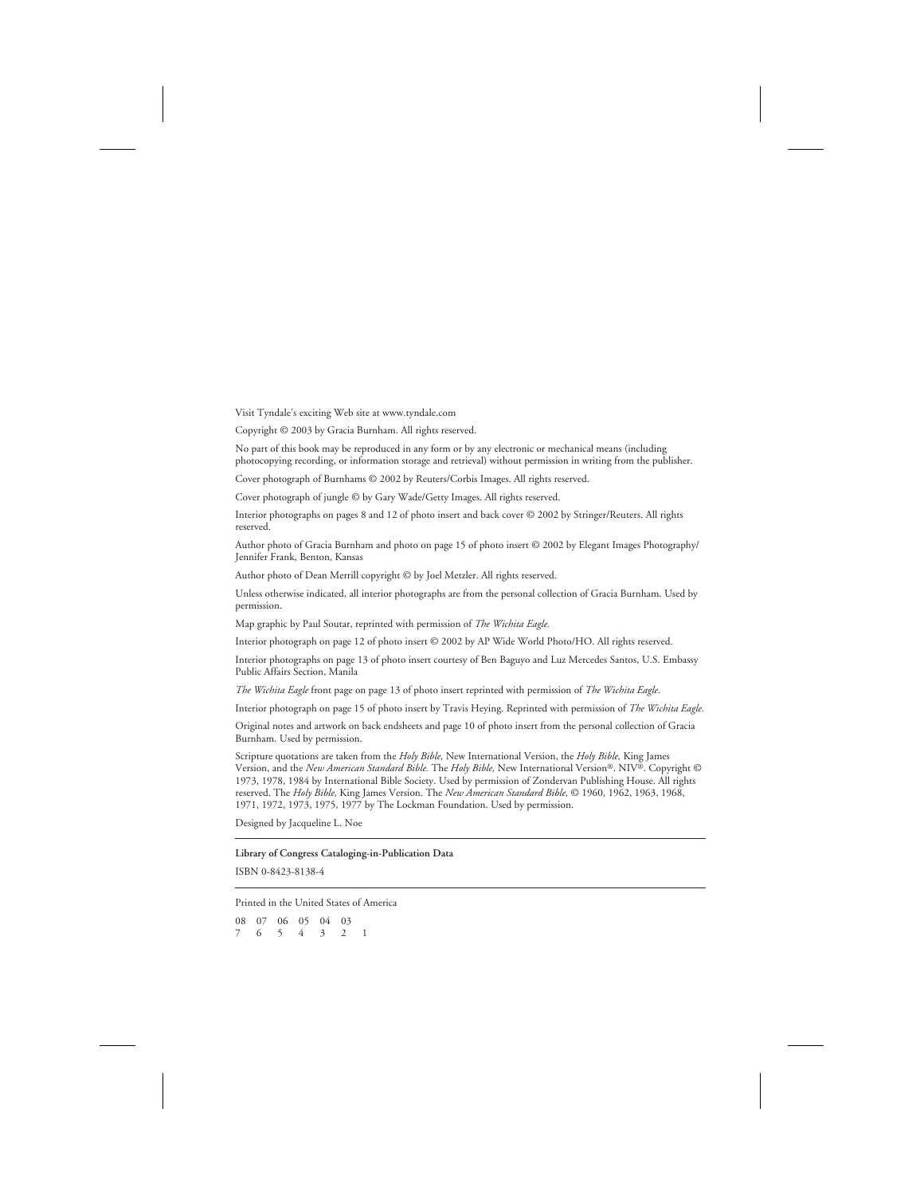Visit Tyndale's exciting Web site at www.tyndale.com

Copyright © 2003 by Gracia Burnham. All rights reserved.

No part of this book may be reproduced in any form or by any electronic or mechanical means (including photocopying recording, or information storage and retrieval) without permission in writing from the publisher.

Cover photograph of Burnhams © 2002 by Reuters/Corbis Images. All rights reserved.

Cover photograph of jungle © by Gary Wade/Getty Images. All rights reserved.

Interior photographs on pages 8 and 12 of photo insert and back cover © 2002 by Stringer/Reuters. All rights reserved.

Author photo of Gracia Burnham and photo on page 15 of photo insert © 2002 by Elegant Images Photography/ Jennifer Frank, Benton, Kansas

Author photo of Dean Merrill copyright © by Joel Metzler. All rights reserved.

Unless otherwise indicated, all interior photographs are from the personal collection of Gracia Burnham. Used by permission.

Map graphic by Paul Soutar, reprinted with permission of *The Wichita Eagle.*

Interior photograph on page 12 of photo insert © 2002 by AP Wide World Photo/HO. All rights reserved.

Interior photographs on page 13 of photo insert courtesy of Ben Baguyo and Luz Mercedes Santos, U.S. Embassy Public Affairs Section, Manila

*The Wichita Eagle* front page on page 13 of photo insert reprinted with permission of *The Wichita Eagle.*

Interior photograph on page 15 of photo insert by Travis Heying. Reprinted with permission of *The Wichita Eagle.*

Original notes and artwork on back endsheets and page 10 of photo insert from the personal collection of Gracia Burnham. Used by permission.

Scripture quotations are taken from the *Holy Bible,* New International Version, the *Holy Bible,* King James Version, and the *New American Standard Bible.* The *Holy Bible,* New International Version®. NIV®. Copyright © 1973, 1978, 1984 by International Bible Society. Used by permission of Zondervan Publishing House. All rights reserved. The *Holy Bible,* King James Version. The *New American Standard Bible,* © 1960, 1962, 1963, 1968, 1971, 1972, 1973, 1975, 1977 by The Lockman Foundation. Used by permission.

Designed by Jacqueline L. Noe

#### **Library of Congress Cataloging-in-Publication Data**

ISBN 0-8423-8138-4

Printed in the United States of America

08 07 06 05 04 03 7654321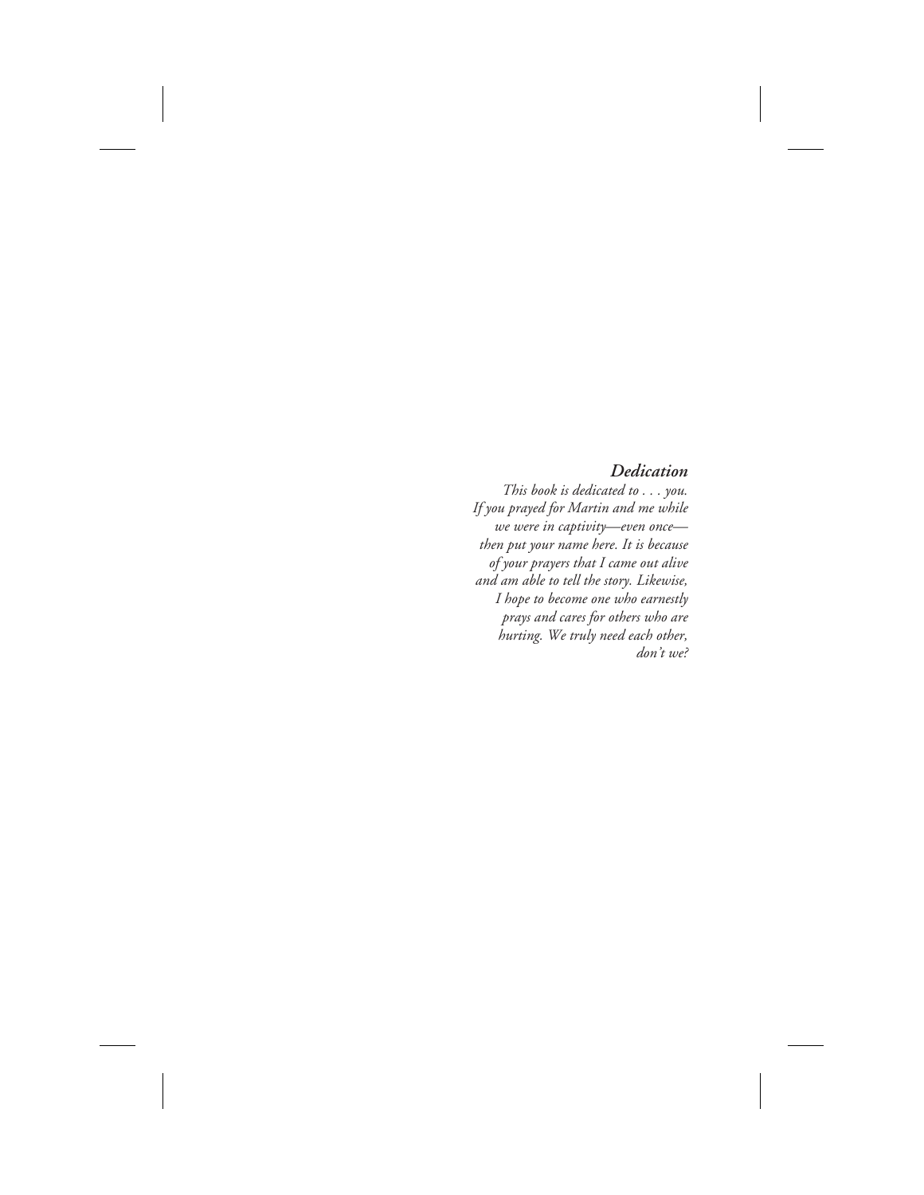#### *Dedication*

*This book is dedicated to . . . you. If you prayed for Martin and me while we were in captivity—even once then put your name here. It is because of your prayers that I came out alive and am able to tell the story. Likewise, I hope to become one who earnestly prays and cares for others who are hurting. We truly need each other, don't we?*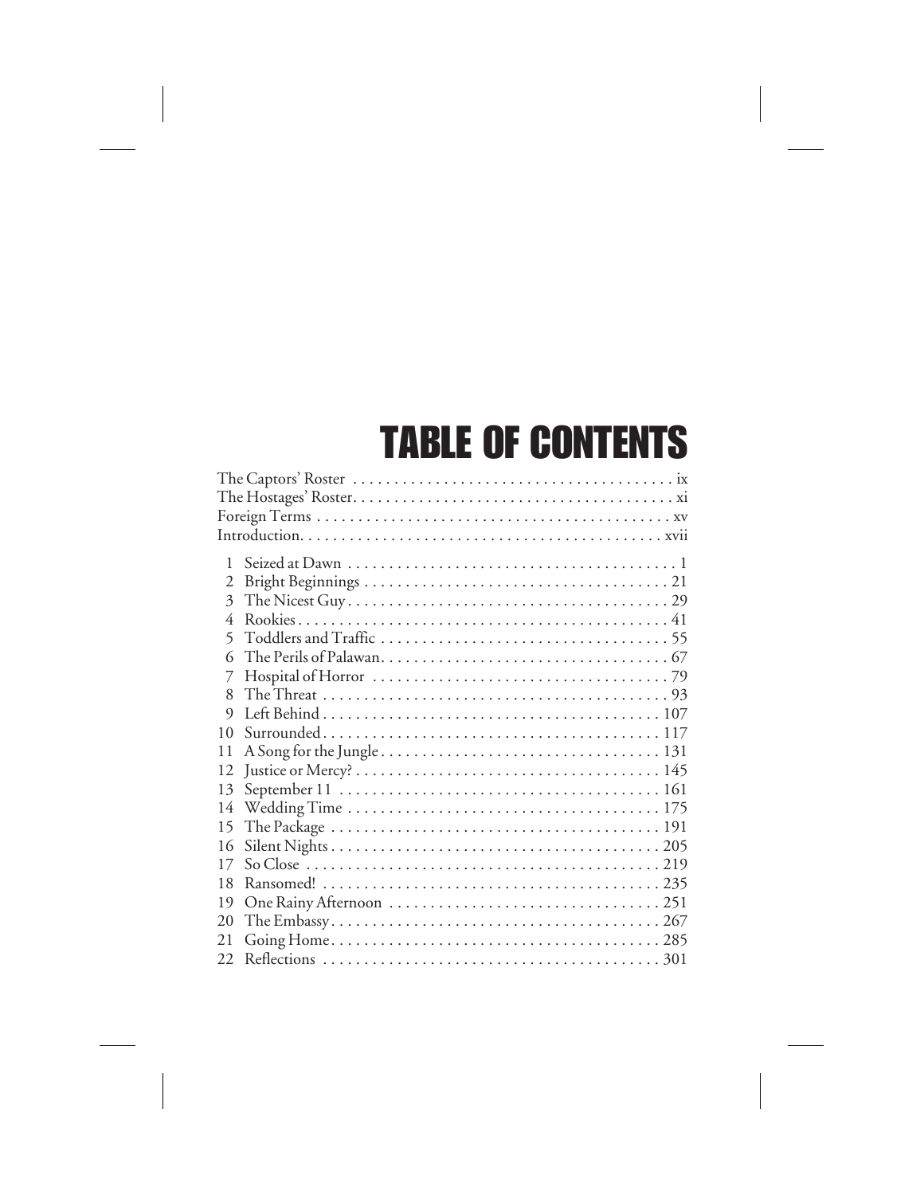# **TABLE OF CONTENTS**

| The Captors' Roster $\dots\dots\dots\dots\dots\dots\dots\dots\dots\dots\dots\dots\dots\dots$ |
|----------------------------------------------------------------------------------------------|
|                                                                                              |
|                                                                                              |
|                                                                                              |
|                                                                                              |
|                                                                                              |
|                                                                                              |
|                                                                                              |
|                                                                                              |
|                                                                                              |
|                                                                                              |
|                                                                                              |
|                                                                                              |
|                                                                                              |
|                                                                                              |
|                                                                                              |
|                                                                                              |
|                                                                                              |
|                                                                                              |
|                                                                                              |
|                                                                                              |
|                                                                                              |
|                                                                                              |
|                                                                                              |
|                                                                                              |
|                                                                                              |
|                                                                                              |
|                                                                                              |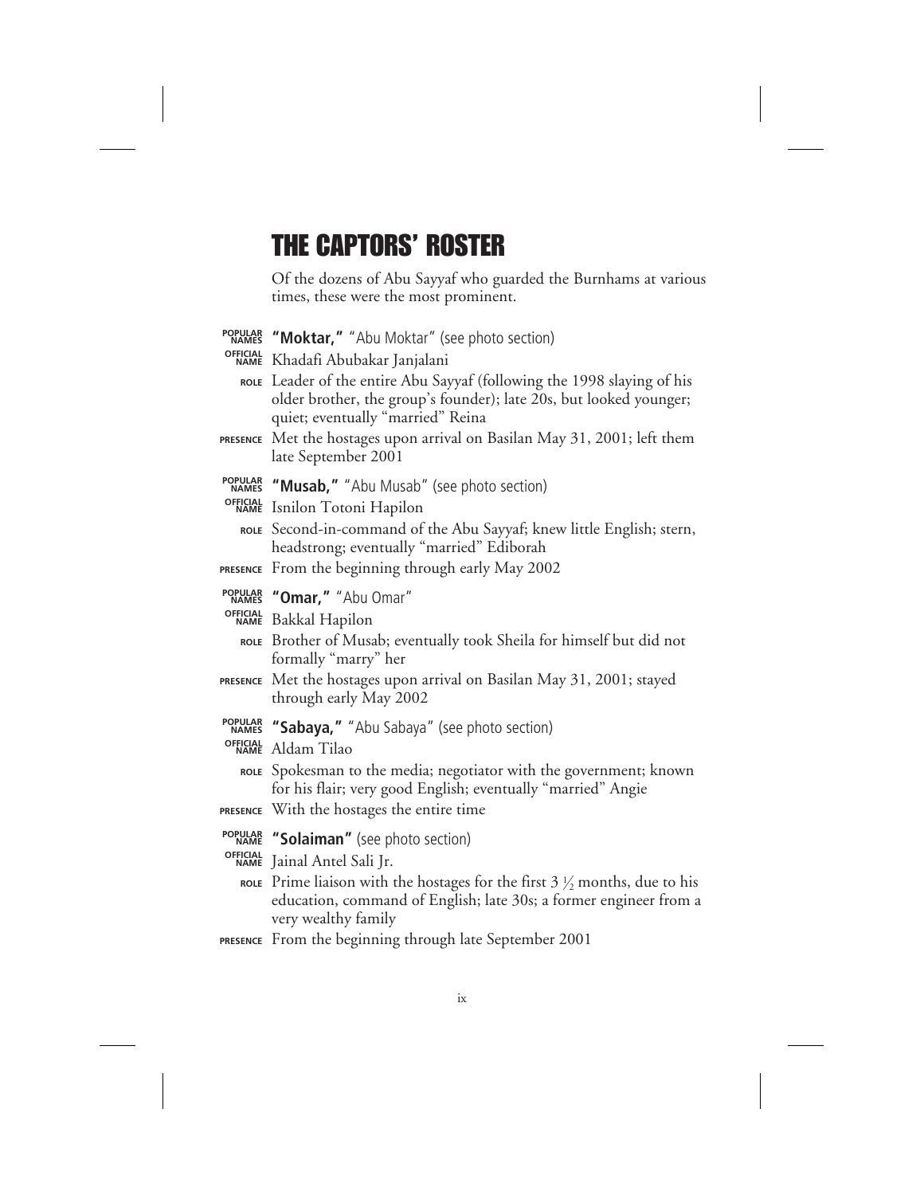## THE CAPTORS' ROSTER

Of the dozens of Abu Sayyaf who guarded the Burnhams at various times, these were the most prominent.

- **POPULAR NAMES "Moktar,"** "Abu Moktar" (see photo section) **OFFICIAL NAME** Khadafi Abubakar Janjalani **ROLE** Leader of the entire Abu Sayyaf (following the 1998 slaying of his older brother, the group's founder); late 20s, but looked younger; quiet; eventually "married" Reina **PRESENCE** Met the hostages upon arrival on Basilan May 31, 2001; left them
- late September 2001
- **POPULAR NAMES "Musab,"** "Abu Musab" (see photo section)
- **OFFICIAL NAME** Isnilon Totoni Hapilon
	- **ROLE** Second-in-command of the Abu Sayyaf; knew little English; stern, headstrong; eventually "married" Ediborah
- **PRESENCE** From the beginning through early May 2002
- **POPULAR NAMES "Omar,"** "Abu Omar"

**OFFICIAL NAME** Bakkal Hapilon

- **ROLE** Brother of Musab; eventually took Sheila for himself but did not formally "marry" her
- **PRESENCE** Met the hostages upon arrival on Basilan May 31, 2001; stayed through early May 2002
- **POPULAR NAMES "Sabaya,"** "Abu Sabaya" (see photo section)

**OFFICIAL NAME** Aldam Tilao

- **ROLE** Spokesman to the media; negotiator with the government; known for his flair; very good English; eventually "married" Angie
- **PRESENCE** With the hostages the entire time
- **POPULAR NAME "Solaiman"** (see photo section)
- **OFFICIAL NAME** Jainal Antel Sali Jr.
	- **ROLE** Prime liaison with the hostages for the first 3  $\frac{1}{2}$  months, due to his education, command of English; late 30s; a former engineer from a very wealthy family
- **PRESENCE** From the beginning through late September 2001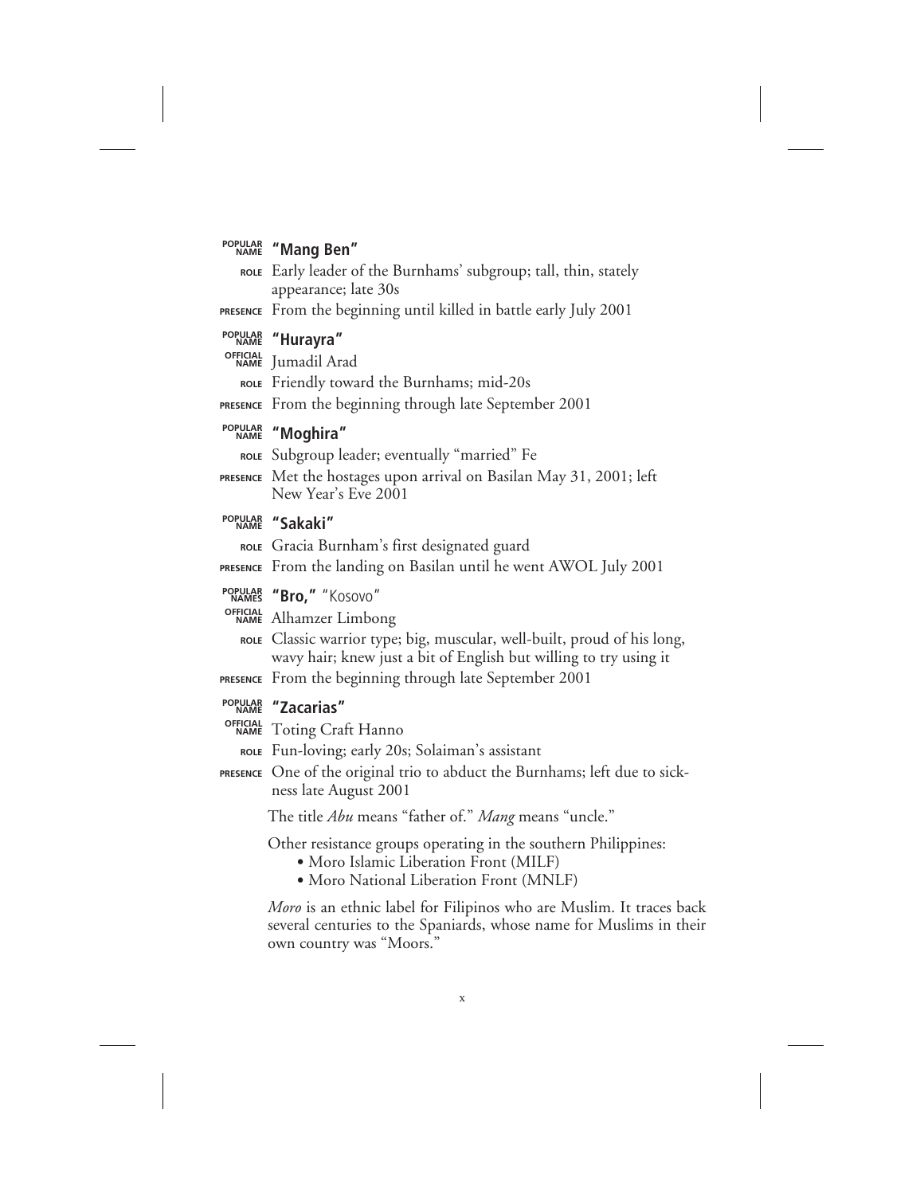### **POPULAR NAME "Mang Ben"**

- **ROLE** Early leader of the Burnhams' subgroup; tall, thin, stately appearance; late 30s
- **PRESENCE** From the beginning until killed in battle early July 2001

### **POPULAR NAME "Hurayra"**

**OFFICIAL NAME** Jumadil Arad

- **ROLE** Friendly toward the Burnhams; mid-20s
- **PRESENCE** From the beginning through late September 2001

#### **POPULAR NAME "Moghira"**

- **ROLE** Subgroup leader; eventually "married" Fe
- **PRESENCE** Met the hostages upon arrival on Basilan May 31, 2001; left New Year's Eve 2001

**POPULAR NAME "Sakaki"**

- **ROLE** Gracia Burnham's first designated guard
- **PRESENCE** From the landing on Basilan until he went AWOL July 2001

**POPULAR NAMES "Bro,"** "Kosovo"

**OFFICIAL NAME** Alhamzer Limbong

- **ROLE** Classic warrior type; big, muscular, well-built, proud of his long, wavy hair; knew just a bit of English but willing to try using it
- **PRESENCE** From the beginning through late September 2001

### **POPULAR NAME "Zacarias"**

**OFFICIAL NAME** Toting Craft Hanno

- **ROLE** Fun-loving; early 20s; Solaiman's assistant
- PRESENCE One of the original trio to abduct the Burnhams; left due to sickness late August 2001

The title *Abu* means "father of." *Mang* means "uncle."

Other resistance groups operating in the southern Philippines:<br>• Moro Islamic Liberation Front (MILF)

- 
- Moro National Liberation Front (MNLF)

*Moro* is an ethnic label for Filipinos who are Muslim. It traces back several centuries to the Spaniards, whose name for Muslims in their own country was "Moors."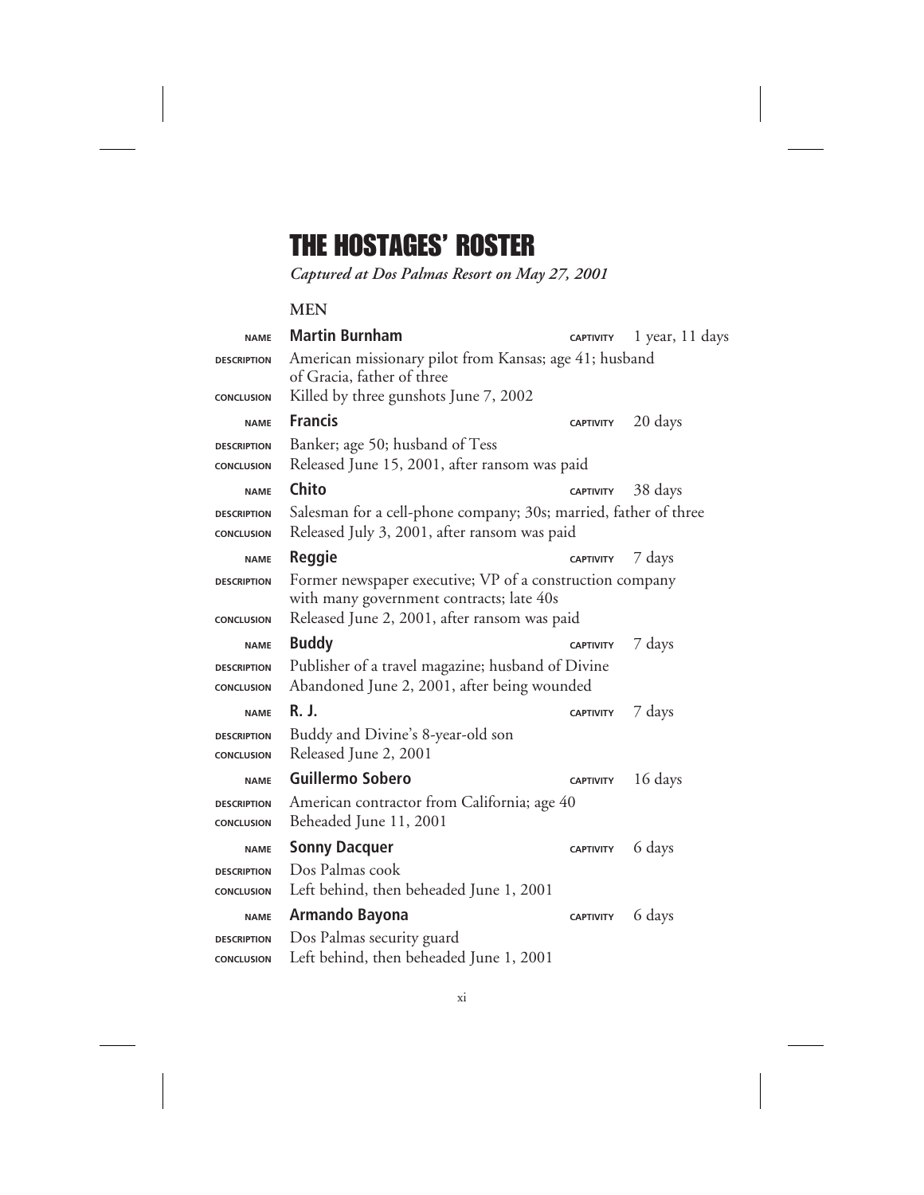## THE HOSTAGES' ROSTER

*Captured at Dos Palmas Resort on May 27, 2001*

### **MEN**

| <b>NAME</b>                             | <b>Martin Burnham</b>                                                                                            | <b>CAPTIVITY</b> | 1 year, 11 days |  |  |
|-----------------------------------------|------------------------------------------------------------------------------------------------------------------|------------------|-----------------|--|--|
| <b>DESCRIPTION</b>                      | American missionary pilot from Kansas; age 41; husband<br>of Gracia, father of three                             |                  |                 |  |  |
| <b>CONCLUSION</b>                       | Killed by three gunshots June 7, 2002                                                                            |                  |                 |  |  |
| <b>NAME</b>                             | <b>Francis</b>                                                                                                   | <b>CAPTIVITY</b> | 20 days         |  |  |
| <b>DESCRIPTION</b><br><b>CONCLUSION</b> | Banker; age 50; husband of Tess<br>Released June 15, 2001, after ransom was paid                                 |                  |                 |  |  |
| <b>NAME</b>                             | Chito                                                                                                            | <b>CAPTIVITY</b> | 38 days         |  |  |
| <b>DESCRIPTION</b><br><b>CONCLUSION</b> | Salesman for a cell-phone company; 30s; married, father of three<br>Released July 3, 2001, after ransom was paid |                  |                 |  |  |
| <b>NAME</b>                             | <b>Reggie</b>                                                                                                    | <b>CAPTIVITY</b> | 7 days          |  |  |
| <b>DESCRIPTION</b>                      | Former newspaper executive; VP of a construction company<br>with many government contracts; late 40s             |                  |                 |  |  |
| <b>CONCLUSION</b>                       | Released June 2, 2001, after ransom was paid                                                                     |                  |                 |  |  |
| <b>NAME</b>                             | <b>Buddy</b>                                                                                                     | <b>CAPTIVITY</b> | 7 days          |  |  |
| <b>DESCRIPTION</b><br><b>CONCLUSION</b> | Publisher of a travel magazine; husband of Divine<br>Abandoned June 2, 2001, after being wounded                 |                  |                 |  |  |
| <b>NAME</b>                             | R. J.                                                                                                            | <b>CAPTIVITY</b> | 7 days          |  |  |
| <b>DESCRIPTION</b><br><b>CONCLUSION</b> | Buddy and Divine's 8-year-old son<br>Released June 2, 2001                                                       |                  |                 |  |  |
| <b>NAME</b>                             | <b>Guillermo Sobero</b>                                                                                          | <b>CAPTIVITY</b> | 16 days         |  |  |
| <b>DESCRIPTION</b>                      | American contractor from California; age 40                                                                      |                  |                 |  |  |
| <b>CONCLUSION</b>                       | Beheaded June 11, 2001                                                                                           |                  |                 |  |  |
| <b>NAME</b>                             | <b>Sonny Dacquer</b>                                                                                             | <b>CAPTIVITY</b> | 6 days          |  |  |
| <b>DESCRIPTION</b><br><b>CONCLUSION</b> | Dos Palmas cook<br>Left behind, then beheaded June 1, 2001                                                       |                  |                 |  |  |
| <b>NAME</b>                             | Armando Bayona                                                                                                   | <b>CAPTIVITY</b> | 6 days          |  |  |
| <b>DESCRIPTION</b><br><b>CONCLUSION</b> | Dos Palmas security guard<br>Left behind, then beheaded June 1, 2001                                             |                  |                 |  |  |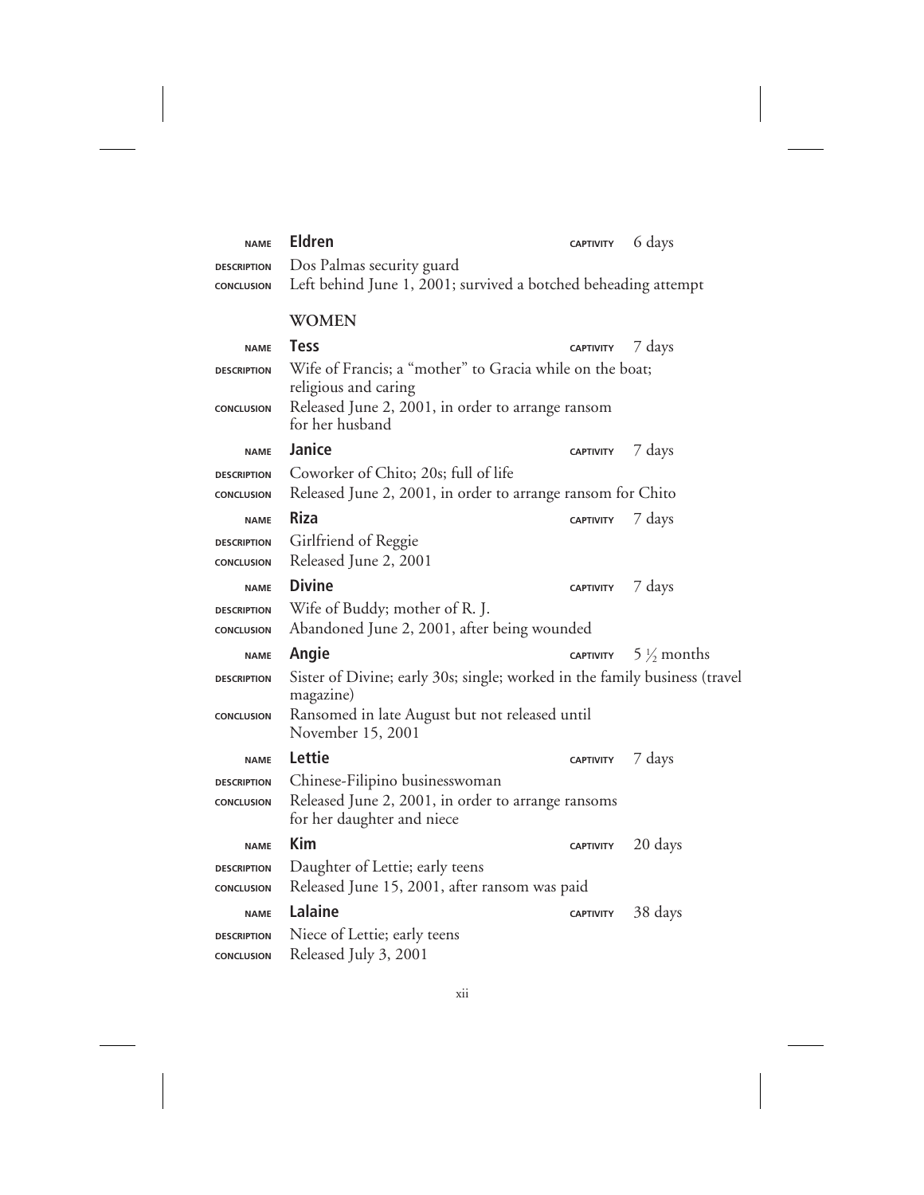| <b>NAME</b>                             | <b>Eldren</b>                                                                                       | <b>CAPTIVITY</b> | 6 days                |  |  |
|-----------------------------------------|-----------------------------------------------------------------------------------------------------|------------------|-----------------------|--|--|
| <b>DESCRIPTION</b><br><b>CONCLUSION</b> | Dos Palmas security guard<br>Left behind June 1, 2001; survived a botched beheading attempt         |                  |                       |  |  |
|                                         | <b>WOMEN</b>                                                                                        |                  |                       |  |  |
| <b>NAME</b>                             | <b>Tess</b>                                                                                         | <b>CAPTIVITY</b> | 7 days                |  |  |
| <b>DESCRIPTION</b>                      | Wife of Francis; a "mother" to Gracia while on the boat;                                            |                  |                       |  |  |
| <b>CONCLUSION</b>                       | religious and caring<br>Released June 2, 2001, in order to arrange ransom<br>for her husband        |                  |                       |  |  |
| <b>NAME</b>                             | Janice                                                                                              | <b>CAPTIVITY</b> | 7 days                |  |  |
| <b>DESCRIPTION</b><br><b>CONCLUSION</b> | Coworker of Chito; 20s; full of life<br>Released June 2, 2001, in order to arrange ransom for Chito |                  |                       |  |  |
| <b>NAME</b>                             | <b>Riza</b>                                                                                         | <b>CAPTIVITY</b> | 7 days                |  |  |
| <b>DESCRIPTION</b><br><b>CONCLUSION</b> | Girlfriend of Reggie<br>Released June 2, 2001                                                       |                  |                       |  |  |
| <b>NAME</b>                             | <b>Divine</b>                                                                                       | <b>CAPTIVITY</b> | 7 days                |  |  |
| <b>DESCRIPTION</b><br><b>CONCLUSION</b> | Wife of Buddy; mother of R. J.<br>Abandoned June 2, 2001, after being wounded                       |                  |                       |  |  |
| <b>NAME</b>                             | Angie                                                                                               | <b>CAPTIVITY</b> | $5\frac{1}{2}$ months |  |  |
| <b>DESCRIPTION</b>                      | Sister of Divine; early 30s; single; worked in the family business (travel<br>magazine)             |                  |                       |  |  |
| <b>CONCLUSION</b>                       | Ransomed in late August but not released until<br>November 15, 2001                                 |                  |                       |  |  |
| <b>NAME</b>                             | Lettie                                                                                              | <b>CAPTIVITY</b> | 7 days                |  |  |
| <b>DESCRIPTION</b>                      | Chinese-Filipino businesswoman                                                                      |                  |                       |  |  |
| <b>CONCLUSION</b>                       | Released June 2, 2001, in order to arrange ransoms<br>for her daughter and niece                    |                  |                       |  |  |
| <b>NAME</b>                             | Kim                                                                                                 | <b>CAPTIVITY</b> | 20 days               |  |  |
| <b>DESCRIPTION</b><br><b>CONCLUSION</b> | Daughter of Lettie; early teens<br>Released June 15, 2001, after ransom was paid                    |                  |                       |  |  |
| <b>NAME</b>                             | Lalaine                                                                                             | <b>CAPTIVITY</b> | 38 days               |  |  |
| <b>DESCRIPTION</b><br><b>CONCLUSION</b> | Niece of Lettie; early teens<br>Released July 3, 2001                                               |                  |                       |  |  |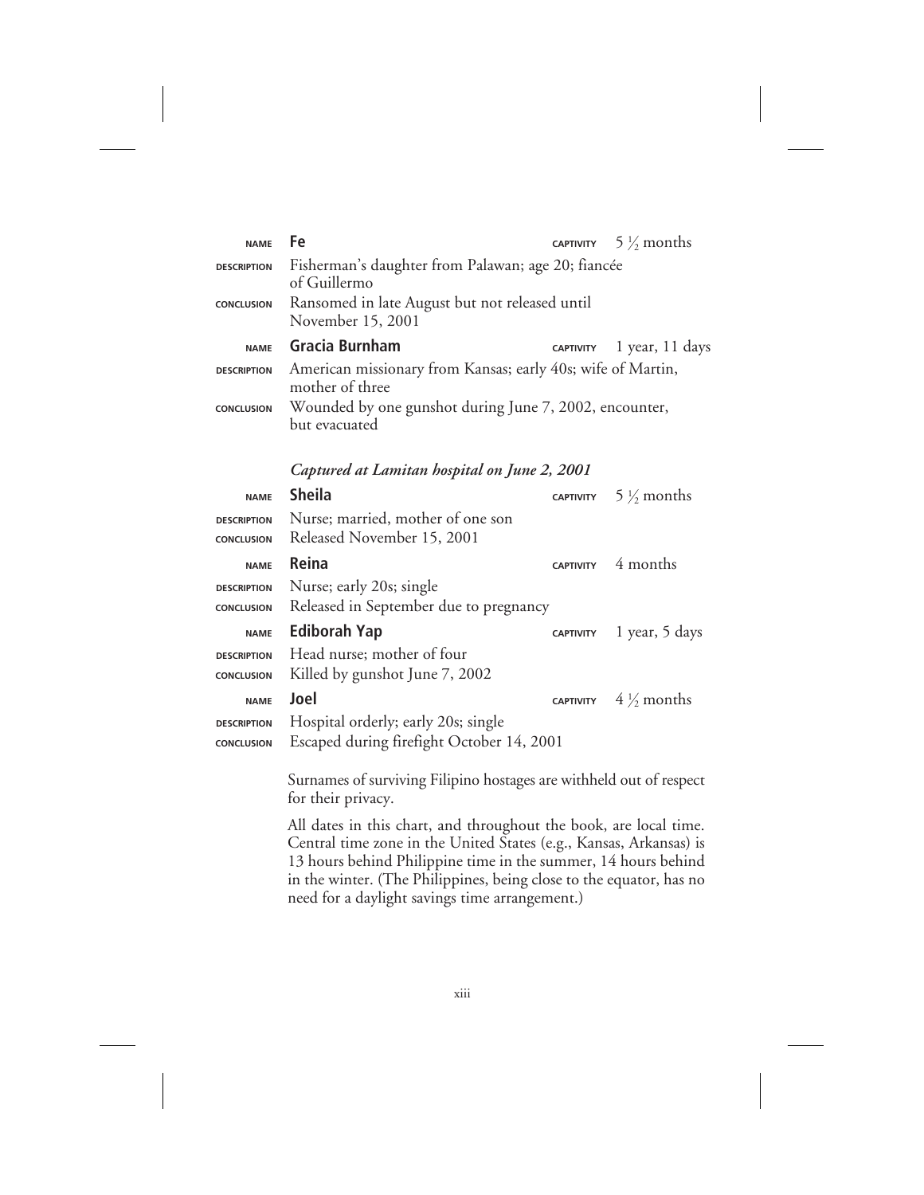| <b>NAME</b>                             | Fe                                                                               |                  | CAPTIVITY $5\frac{1}{2}$ months |  |  |
|-----------------------------------------|----------------------------------------------------------------------------------|------------------|---------------------------------|--|--|
| <b>DESCRIPTION</b>                      | Fisherman's daughter from Palawan; age 20; fiancée<br>of Guillermo               |                  |                                 |  |  |
| <b>CONCLUSION</b>                       | Ransomed in late August but not released until<br>November 15, 2001              |                  |                                 |  |  |
| <b>NAME</b>                             | Gracia Burnham                                                                   | <b>CAPTIVITY</b> | 1 year, 11 days                 |  |  |
| <b>DESCRIPTION</b>                      | American missionary from Kansas; early 40s; wife of Martin,<br>mother of three   |                  |                                 |  |  |
| <b>CONCLUSION</b>                       | Wounded by one gunshot during June 7, 2002, encounter,<br>but evacuated          |                  |                                 |  |  |
|                                         | Captured at Lamitan hospital on June 2, 2001                                     |                  |                                 |  |  |
| <b>NAME</b>                             | <b>Sheila</b>                                                                    |                  | CAPTIVITY $5\frac{1}{2}$ months |  |  |
| <b>DESCRIPTION</b>                      | Nurse; married, mother of one son                                                |                  |                                 |  |  |
| <b>CONCLUSION</b>                       | Released November 15, 2001                                                       |                  |                                 |  |  |
| <b>NAMF</b>                             | Reina                                                                            | <b>CAPTIVITY</b> | 4 months                        |  |  |
| <b>DESCRIPTION</b>                      | Nurse; early 20s; single                                                         |                  |                                 |  |  |
| <b>CONCLUSION</b>                       | Released in September due to pregnancy                                           |                  |                                 |  |  |
| <b>NAME</b>                             | Ediborah Yap                                                                     |                  | CAPTIVITY 1 year, 5 days        |  |  |
| <b>DESCRIPTION</b>                      | Head nurse; mother of four                                                       |                  |                                 |  |  |
| <b>CONCLUSION</b>                       | Killed by gunshot June 7, 2002                                                   |                  |                                 |  |  |
| <b>NAME</b>                             | Joel                                                                             |                  | CAPTIVITY $4\frac{1}{2}$ months |  |  |
| <b>DESCRIPTION</b><br><b>CONCLUSION</b> | Hospital orderly; early 20s; single<br>Escaped during firefight October 14, 2001 |                  |                                 |  |  |
|                                         |                                                                                  |                  |                                 |  |  |

Surnames of surviving Filipino hostages are withheld out of respect for their privacy.

All dates in this chart, and throughout the book, are local time. Central time zone in the United States (e.g., Kansas, Arkansas) is 13 hours behind Philippine time in the summer, 14 hours behind in the winter. (The Philippines, being close to the equator, has no need for a daylight savings time arrangement.)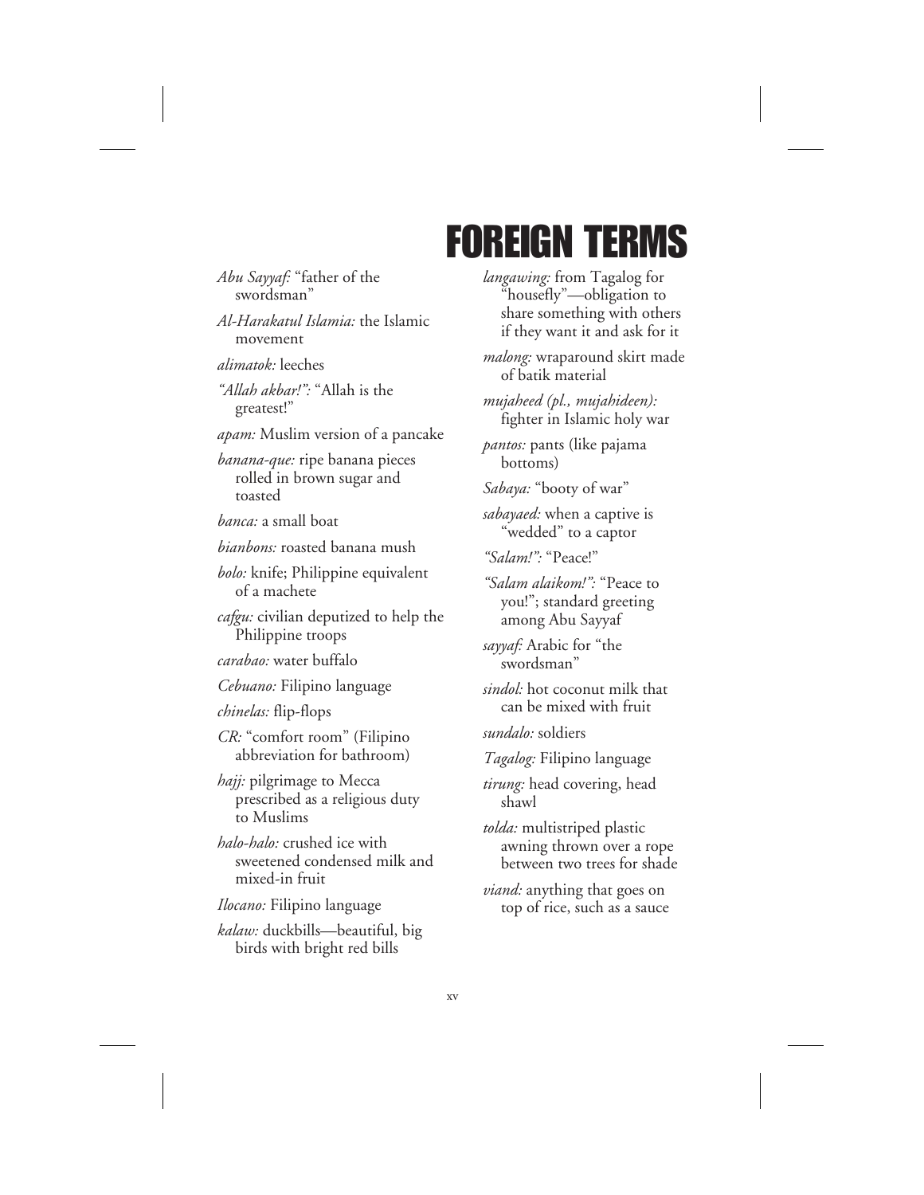# FOREIGN TERMS

*Abu Sayyaf:* "father of the swordsman"

*Al-Harakatul Islamia:* the Islamic movement

*alimatok:* leeches

*"Allah akbar!":* "Allah is the greatest!"

*apam:* Muslim version of a pancake

*banana-que:* ripe banana pieces rolled in brown sugar and toasted

*banca:* a small boat

*bianbons:* roasted banana mush

*bolo:* knife; Philippine equivalent of a machete

*cafgu:* civilian deputized to help the Philippine troops

*carabao:* water buffalo

*Cebuano:* Filipino language

*chinelas:* flip-flops

*CR:* "comfort room" (Filipino abbreviation for bathroom)

*hajj:* pilgrimage to Mecca prescribed as a religious duty to Muslims

*halo-halo:* crushed ice with sweetened condensed milk and mixed-in fruit

*Ilocano:* Filipino language

*kalaw:* duckbills—beautiful, big birds with bright red bills

*langawing:* from Tagalog for "housefly"—obligation to share something with others if they want it and ask for it

*malong:* wraparound skirt made of batik material

*mujaheed (pl., mujahideen):* fighter in Islamic holy war

*pantos:* pants (like pajama bottoms)

*Sabaya:* "booty of war"

*sabayaed:* when a captive is "wedded" to a captor

*"Salam!":* "Peace!"

*"Salam alaikom!":* "Peace to you!"; standard greeting among Abu Sayyaf

*sayyaf:* Arabic for "the swordsman"

*sindol:* hot coconut milk that can be mixed with fruit

*sundalo:* soldiers

*Tagalog:* Filipino language

*tirung:* head covering, head shawl

*tolda:* multistriped plastic awning thrown over a rope between two trees for shade

*viand:* anything that goes on top of rice, such as a sauce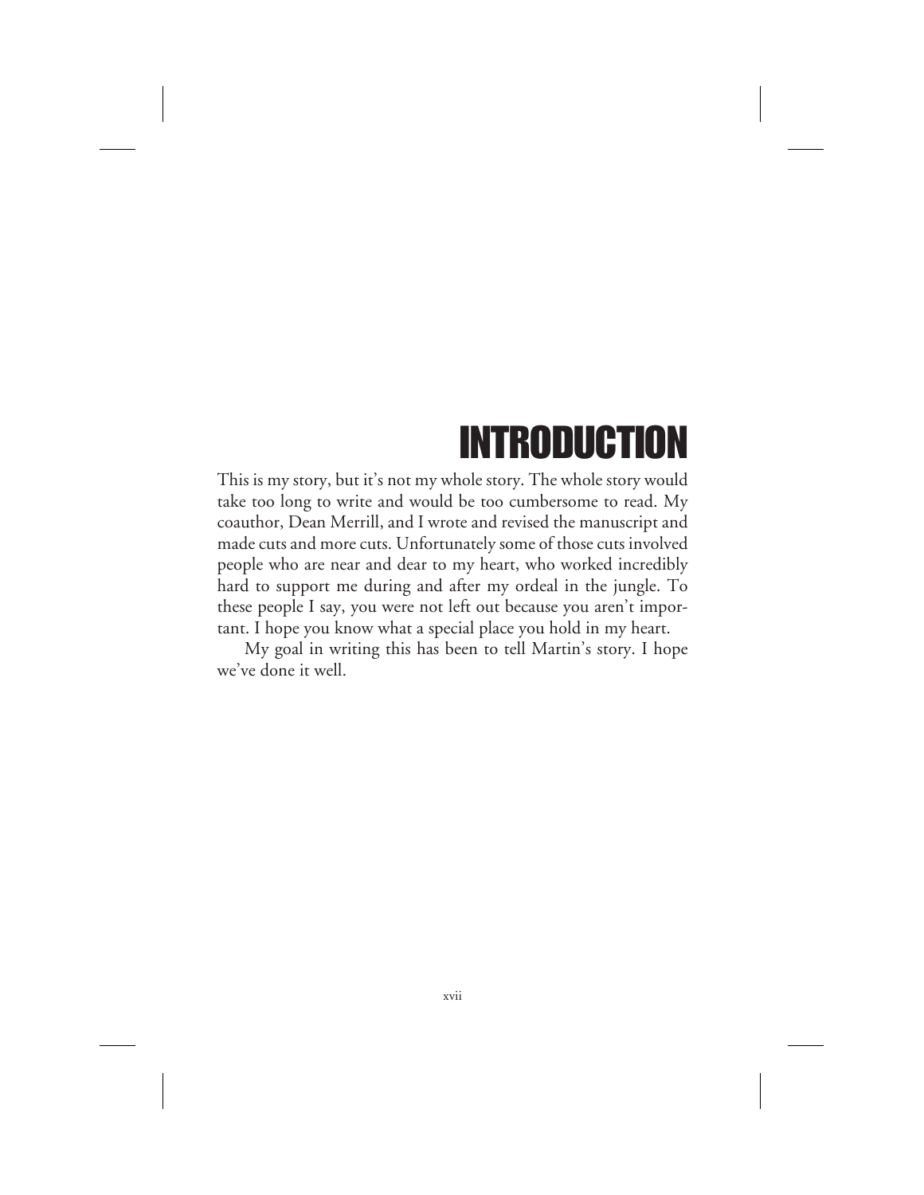# INTRODUCTION

This is my story, but it's not my whole story. The whole story would take too long to write and would be too cumbersome to read. My coauthor, Dean Merrill, and I wrote and revised the manuscript and made cuts and more cuts. Unfortunately some of those cuts involved people who are near and dear to my heart, who worked incredibly hard to support me during and after my ordeal in the jungle. To these people I say, you were not left out because you aren't important. I hope you know what a special place you hold in my heart.

My goal in writing this has been to tell Martin's story. I hope we've done it well.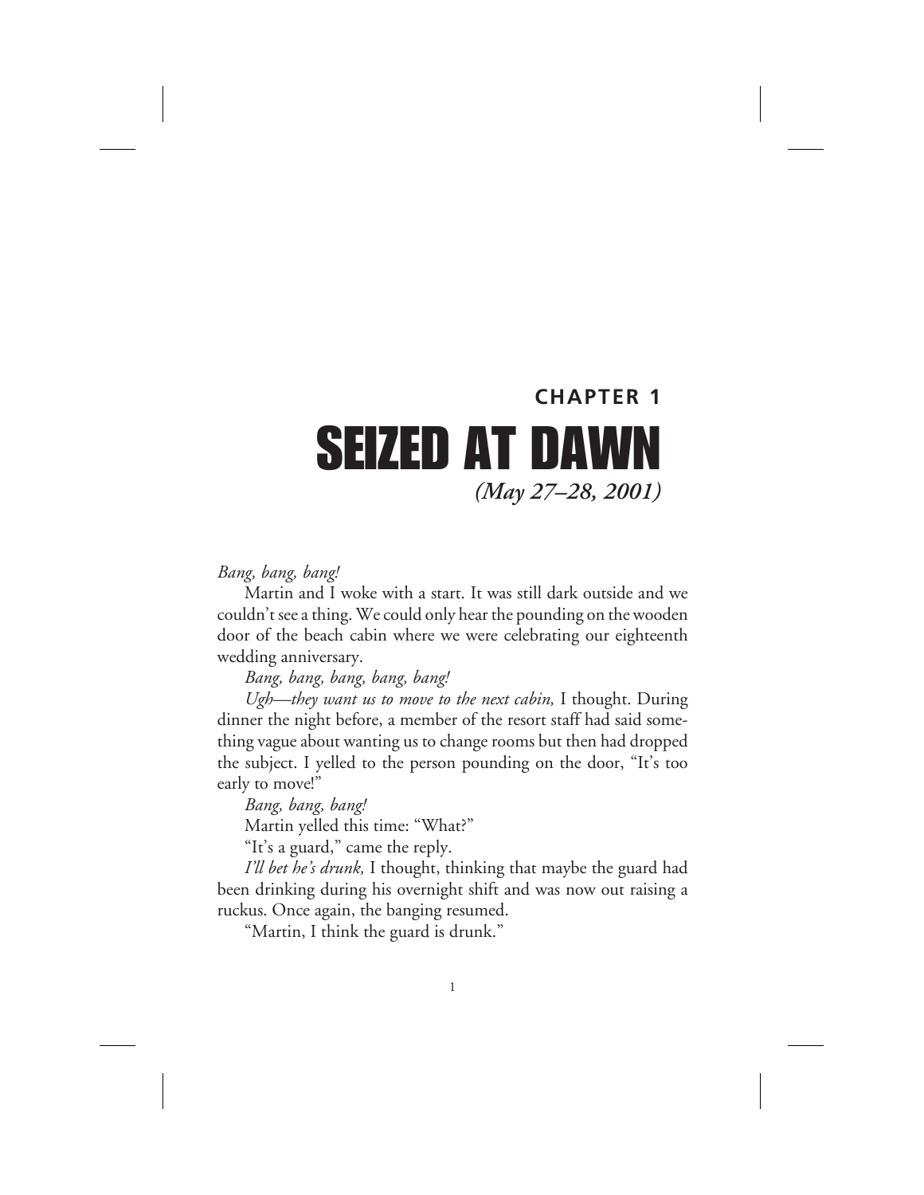## **CHAPTER 1** SEIZED AT DAWN *(May 27–28, 2001)*

*Bang, bang, bang!*

Martin and I woke with a start. It was still dark outside and we couldn't see a thing. We could only hear the pounding on the wooden door of the beach cabin where we were celebrating our eighteenth wedding anniversary.

*Bang, bang, bang, bang, bang!*

*Ugh—they want us to move to the next cabin,* I thought. During dinner the night before, a member of the resort staff had said something vague about wanting us to change rooms but then had dropped the subject. I yelled to the person pounding on the door, "It's too early to move!"

*Bang, bang, bang!*

Martin yelled this time: "What?"

"It's a guard," came the reply.

*I'll bet he's drunk,* I thought, thinking that maybe the guard had been drinking during his overnight shift and was now out raising a ruckus. Once again, the banging resumed.

"Martin, I think the guard is drunk."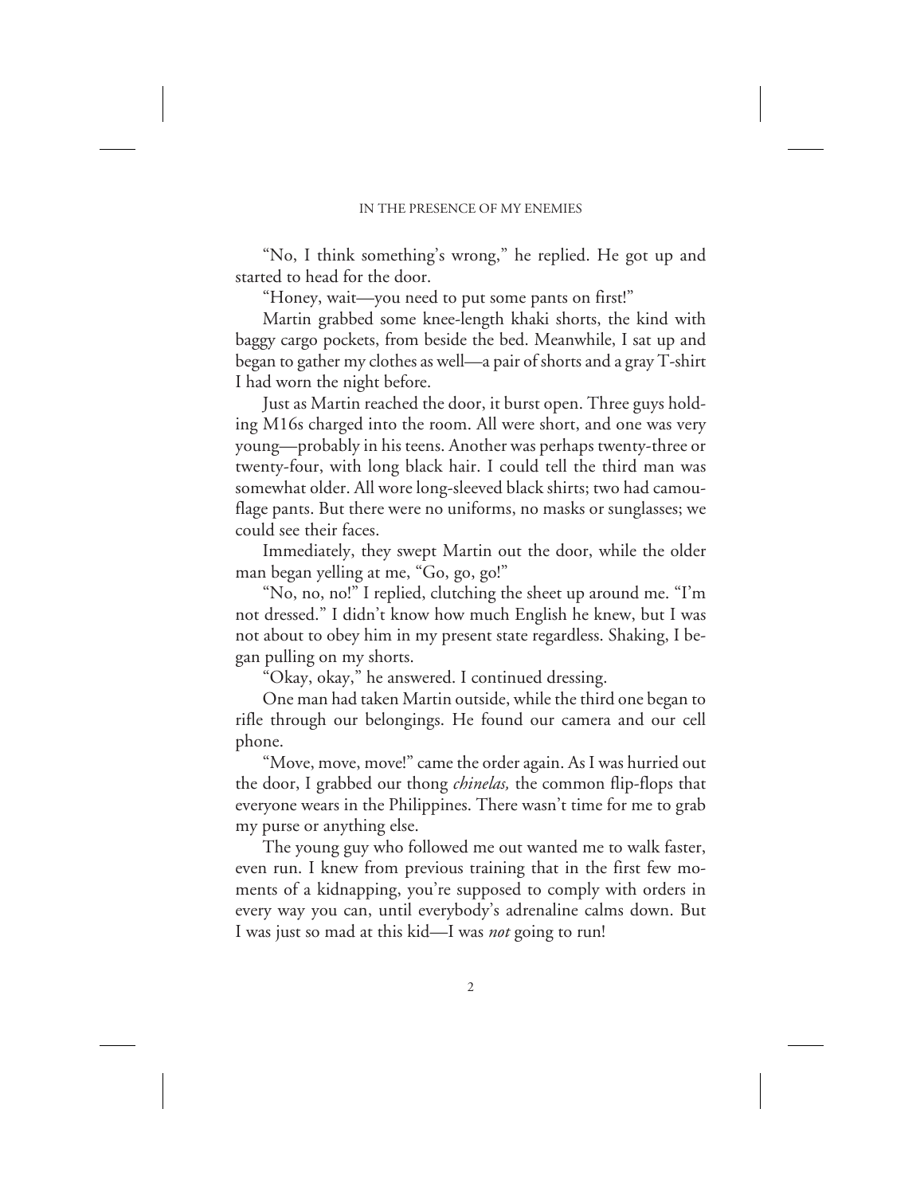"No, I think something's wrong," he replied. He got up and started to head for the door.

"Honey, wait—you need to put some pants on first!"

Martin grabbed some knee-length khaki shorts, the kind with baggy cargo pockets, from beside the bed. Meanwhile, I sat up and began to gather my clothes as well—a pair of shorts and a gray T-shirt I had worn the night before.

Just as Martin reached the door, it burst open. Three guys holding M16s charged into the room. All were short, and one was very young—probably in his teens. Another was perhaps twenty-three or twenty-four, with long black hair. I could tell the third man was somewhat older. All wore long-sleeved black shirts; two had camouflage pants. But there were no uniforms, no masks or sunglasses; we could see their faces.

Immediately, they swept Martin out the door, while the older man began yelling at me, "Go, go, go!"

"No, no, no!" I replied, clutching the sheet up around me. "I'm not dressed." I didn't know how much English he knew, but I was not about to obey him in my present state regardless. Shaking, I began pulling on my shorts.

"Okay, okay," he answered. I continued dressing.

One man had taken Martin outside, while the third one began to rifle through our belongings. He found our camera and our cell phone.

"Move, move, move!" came the order again. As I was hurried out the door, I grabbed our thong *chinelas,* the common flip-flops that everyone wears in the Philippines. There wasn't time for me to grab my purse or anything else.

The young guy who followed me out wanted me to walk faster, even run. I knew from previous training that in the first few moments of a kidnapping, you're supposed to comply with orders in every way you can, until everybody's adrenaline calms down. But I was just so mad at this kid—I was *not* going to run!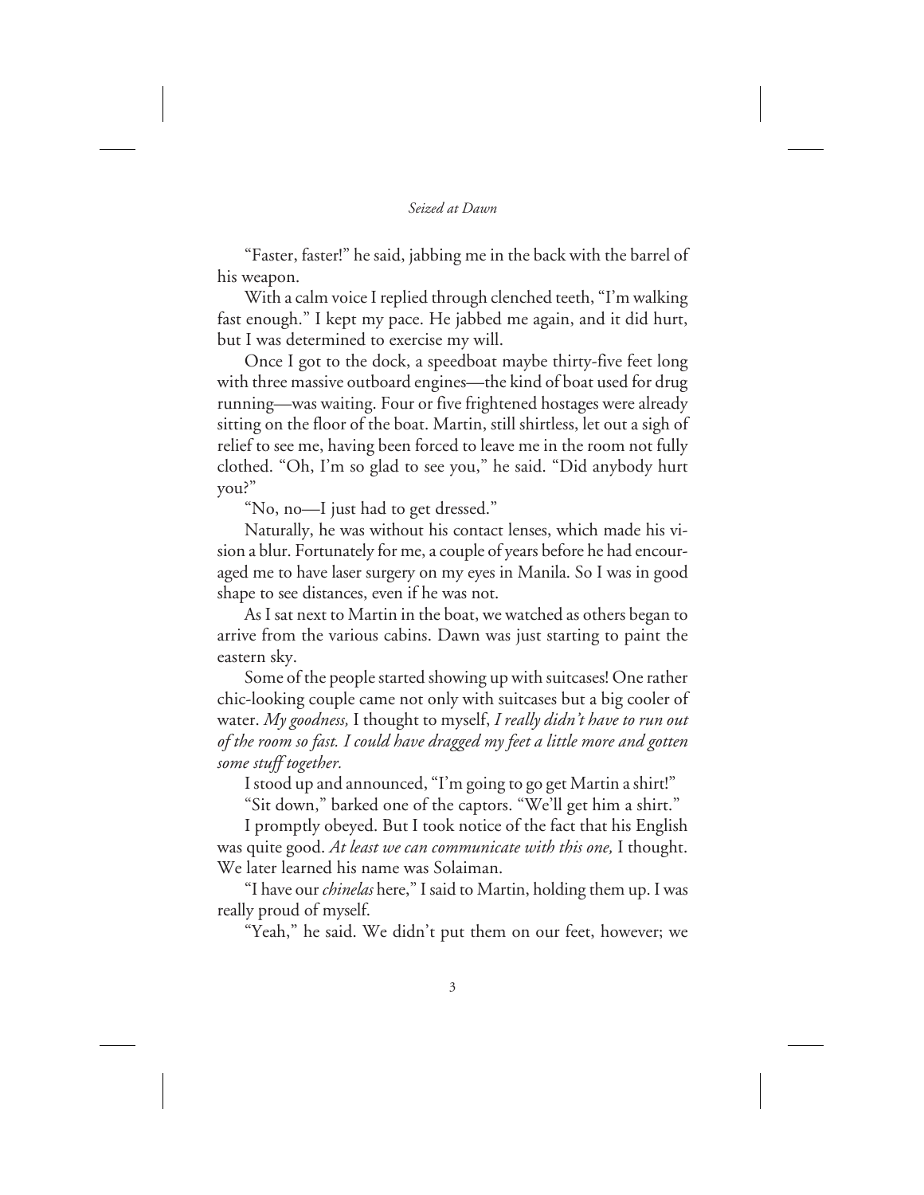"Faster, faster!" he said, jabbing me in the back with the barrel of his weapon.

With a calm voice I replied through clenched teeth, "I'm walking fast enough." I kept my pace. He jabbed me again, and it did hurt, but I was determined to exercise my will.

Once I got to the dock, a speedboat maybe thirty-five feet long with three massive outboard engines—the kind of boat used for drug running—was waiting. Four or five frightened hostages were already sitting on the floor of the boat. Martin, still shirtless, let out a sigh of relief to see me, having been forced to leave me in the room not fully clothed. "Oh, I'm so glad to see you," he said. "Did anybody hurt you?"

"No, no—I just had to get dressed."

Naturally, he was without his contact lenses, which made his vision a blur. Fortunately for me, a couple of years before he had encouraged me to have laser surgery on my eyes in Manila. So I was in good shape to see distances, even if he was not.

As I sat next to Martin in the boat, we watched as others began to arrive from the various cabins. Dawn was just starting to paint the eastern sky.

Some of the people started showing up with suitcases! One rather chic-looking couple came not only with suitcases but a big cooler of water. *My goodness,* I thought to myself, *I really didn't have to run out of the room so fast. I could have dragged my feet a little more and gotten some stuff together.*

I stood up and announced, "I'm going to go get Martin a shirt!"

"Sit down," barked one of the captors. "We'll get him a shirt."

I promptly obeyed. But I took notice of the fact that his English was quite good. *At least we can communicate with this one,* I thought. We later learned his name was Solaiman.

"I have our *chinelas* here," I said to Martin, holding them up. I was really proud of myself.

"Yeah," he said. We didn't put them on our feet, however; we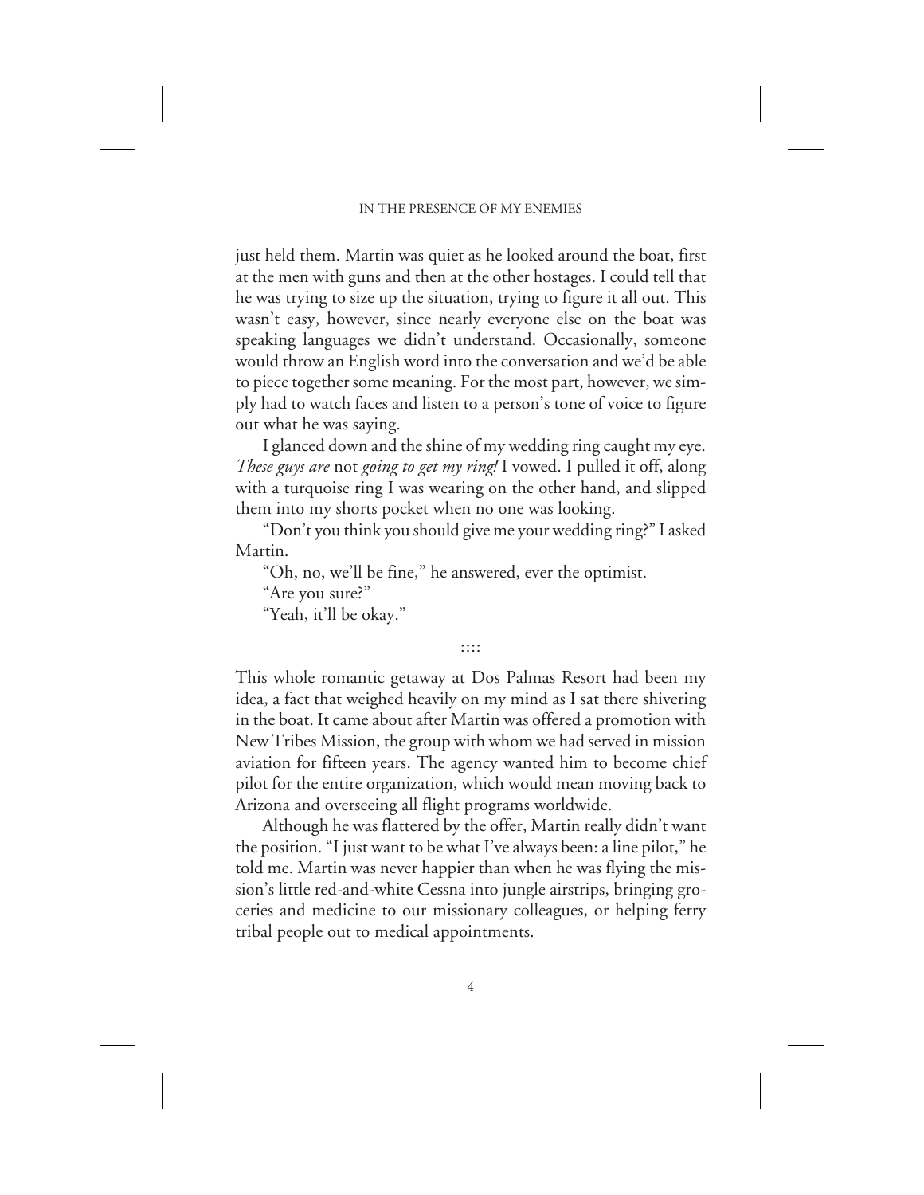just held them. Martin was quiet as he looked around the boat, first at the men with guns and then at the other hostages. I could tell that he was trying to size up the situation, trying to figure it all out. This wasn't easy, however, since nearly everyone else on the boat was speaking languages we didn't understand. Occasionally, someone would throw an English word into the conversation and we'd be able to piece together some meaning. For the most part, however, we simply had to watch faces and listen to a person's tone of voice to figure out what he was saying.

I glanced down and the shine of my wedding ring caught my eye. *These guys are* not *going to get my ring!* I vowed. I pulled it off, along with a turquoise ring I was wearing on the other hand, and slipped them into my shorts pocket when no one was looking.

"Don't you think you should give me your wedding ring?" I asked Martin.

"Oh, no, we'll be fine," he answered, ever the optimist.

"Are you sure?"

"Yeah, it'll be okay."

#### ::::

This whole romantic getaway at Dos Palmas Resort had been my idea, a fact that weighed heavily on my mind as I sat there shivering in the boat. It came about after Martin was offered a promotion with New Tribes Mission, the group with whom we had served in mission aviation for fifteen years. The agency wanted him to become chief pilot for the entire organization, which would mean moving back to Arizona and overseeing all flight programs worldwide.

Although he was flattered by the offer, Martin really didn't want the position. "I just want to be what I've always been: a line pilot," he told me. Martin was never happier than when he was flying the mission's little red-and-white Cessna into jungle airstrips, bringing groceries and medicine to our missionary colleagues, or helping ferry tribal people out to medical appointments.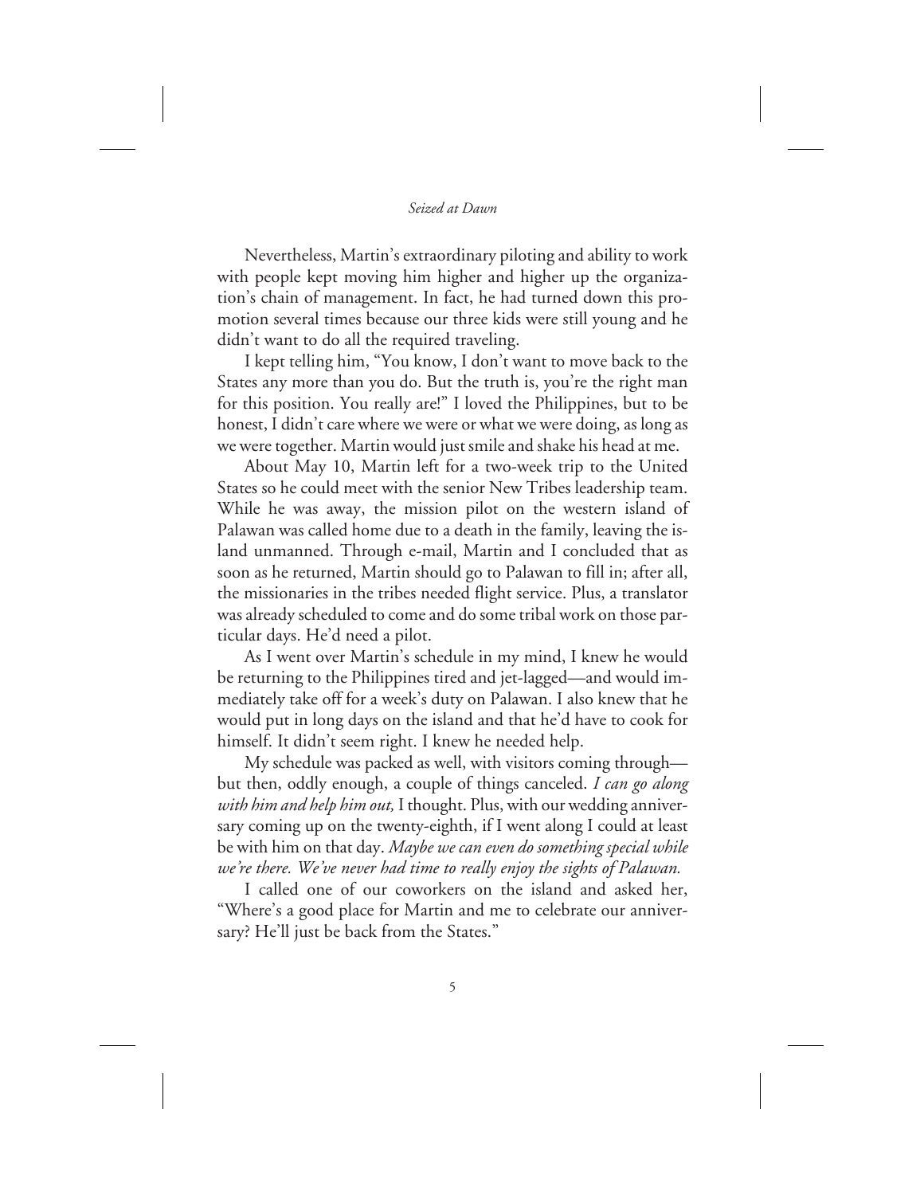Nevertheless, Martin's extraordinary piloting and ability to work with people kept moving him higher and higher up the organization's chain of management. In fact, he had turned down this promotion several times because our three kids were still young and he didn't want to do all the required traveling.

I kept telling him, "You know, I don't want to move back to the States any more than you do. But the truth is, you're the right man for this position. You really are!" I loved the Philippines, but to be honest, I didn't care where we were or what we were doing, as long as we were together. Martin would just smile and shake his head at me.

About May 10, Martin left for a two-week trip to the United States so he could meet with the senior New Tribes leadership team. While he was away, the mission pilot on the western island of Palawan was called home due to a death in the family, leaving the island unmanned. Through e-mail, Martin and I concluded that as soon as he returned, Martin should go to Palawan to fill in; after all, the missionaries in the tribes needed flight service. Plus, a translator was already scheduled to come and do some tribal work on those particular days. He'd need a pilot.

As I went over Martin's schedule in my mind, I knew he would be returning to the Philippines tired and jet-lagged—and would immediately take off for a week's duty on Palawan. I also knew that he would put in long days on the island and that he'd have to cook for himself. It didn't seem right. I knew he needed help.

My schedule was packed as well, with visitors coming through but then, oddly enough, a couple of things canceled. *I can go along with him and help him out,* I thought. Plus, with our wedding anniversary coming up on the twenty-eighth, if I went along I could at least be with him on that day. *Maybe we can even do something special while we're there. We've never had time to really enjoy the sights of Palawan.*

I called one of our coworkers on the island and asked her, "Where's a good place for Martin and me to celebrate our anniversary? He'll just be back from the States."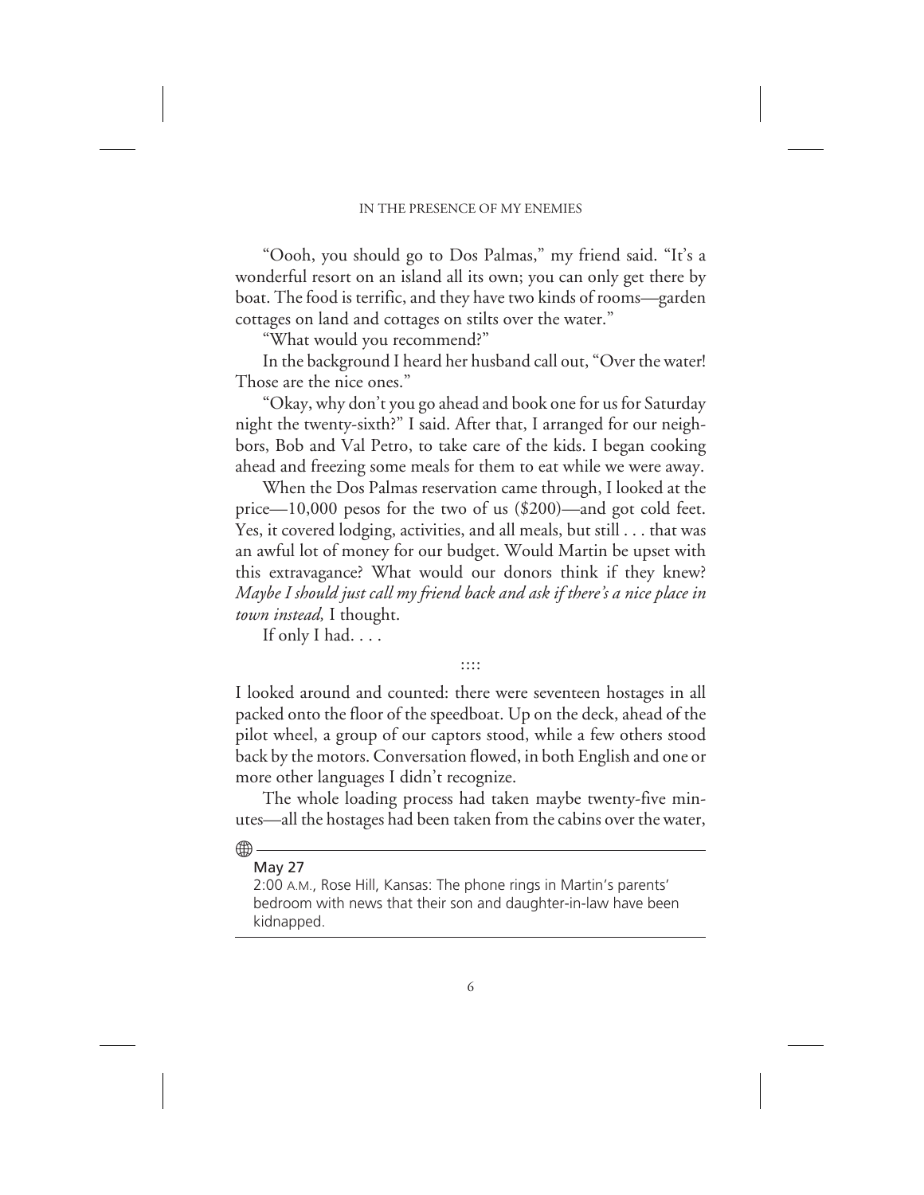"Oooh, you should go to Dos Palmas," my friend said. "It's a wonderful resort on an island all its own; you can only get there by boat. The food is terrific, and they have two kinds of rooms—garden cottages on land and cottages on stilts over the water."

"What would you recommend?"

In the background I heard her husband call out, "Over the water! Those are the nice ones."

"Okay, why don't you go ahead and book one for us for Saturday night the twenty-sixth?" I said. After that, I arranged for our neighbors, Bob and Val Petro, to take care of the kids. I began cooking ahead and freezing some meals for them to eat while we were away.

When the Dos Palmas reservation came through, I looked at the price—10,000 pesos for the two of us (\$200)—and got cold feet. Yes, it covered lodging, activities, and all meals, but still... that was an awful lot of money for our budget. Would Martin be upset with this extravagance? What would our donors think if they knew? *Maybe I should just call my friend back and ask if there's a nice place in town instead,* I thought.

If only I had. . . .

::::

I looked around and counted: there were seventeen hostages in all packed onto the floor of the speedboat. Up on the deck, ahead of the pilot wheel, a group of our captors stood, while a few others stood back by the motors. Conversation flowed, in both English and one or more other languages I didn't recognize.

The whole loading process had taken maybe twenty-five minutes—all the hostages had been taken from the cabins over the water,

 $\oplus$ 

#### May 27

2:00 A.M., Rose Hill, Kansas: The phone rings in Martin's parents' bedroom with news that their son and daughter-in-law have been kidnapped.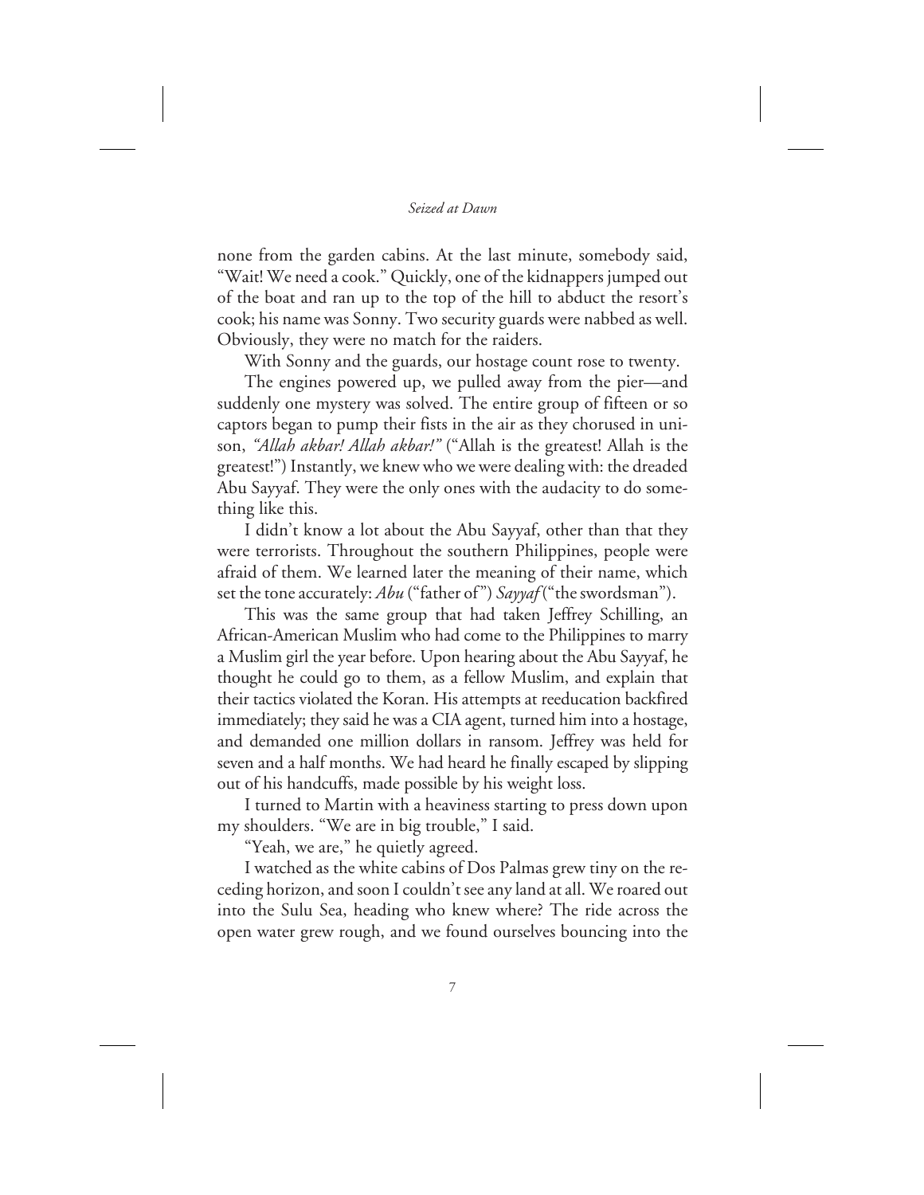none from the garden cabins. At the last minute, somebody said, "Wait! We need a cook." Quickly, one of the kidnappers jumped out of the boat and ran up to the top of the hill to abduct the resort's cook; his name was Sonny. Two security guards were nabbed as well. Obviously, they were no match for the raiders.

With Sonny and the guards, our hostage count rose to twenty.

The engines powered up, we pulled away from the pier—and suddenly one mystery was solved. The entire group of fifteen or so captors began to pump their fists in the air as they chorused in unison, *"Allah akbar! Allah akbar!"* ("Allah is the greatest! Allah is the greatest!") Instantly, we knew who we were dealing with: the dreaded Abu Sayyaf. They were the only ones with the audacity to do something like this.

I didn't know a lot about the Abu Sayyaf, other than that they were terrorists. Throughout the southern Philippines, people were afraid of them. We learned later the meaning of their name, which set the tone accurately: *Abu* ("father of") *Sayyaf* ("the swordsman").

This was the same group that had taken Jeffrey Schilling, an African-American Muslim who had come to the Philippines to marry a Muslim girl the year before. Upon hearing about the Abu Sayyaf, he thought he could go to them, as a fellow Muslim, and explain that their tactics violated the Koran. His attempts at reeducation backfired immediately; they said he was a CIA agent, turned him into a hostage, and demanded one million dollars in ransom. Jeffrey was held for seven and a half months. We had heard he finally escaped by slipping out of his handcuffs, made possible by his weight loss.

I turned to Martin with a heaviness starting to press down upon my shoulders. "We are in big trouble," I said.

"Yeah, we are," he quietly agreed.

I watched as the white cabins of Dos Palmas grew tiny on the receding horizon, and soon I couldn't see any land at all. We roared out into the Sulu Sea, heading who knew where? The ride across the open water grew rough, and we found ourselves bouncing into the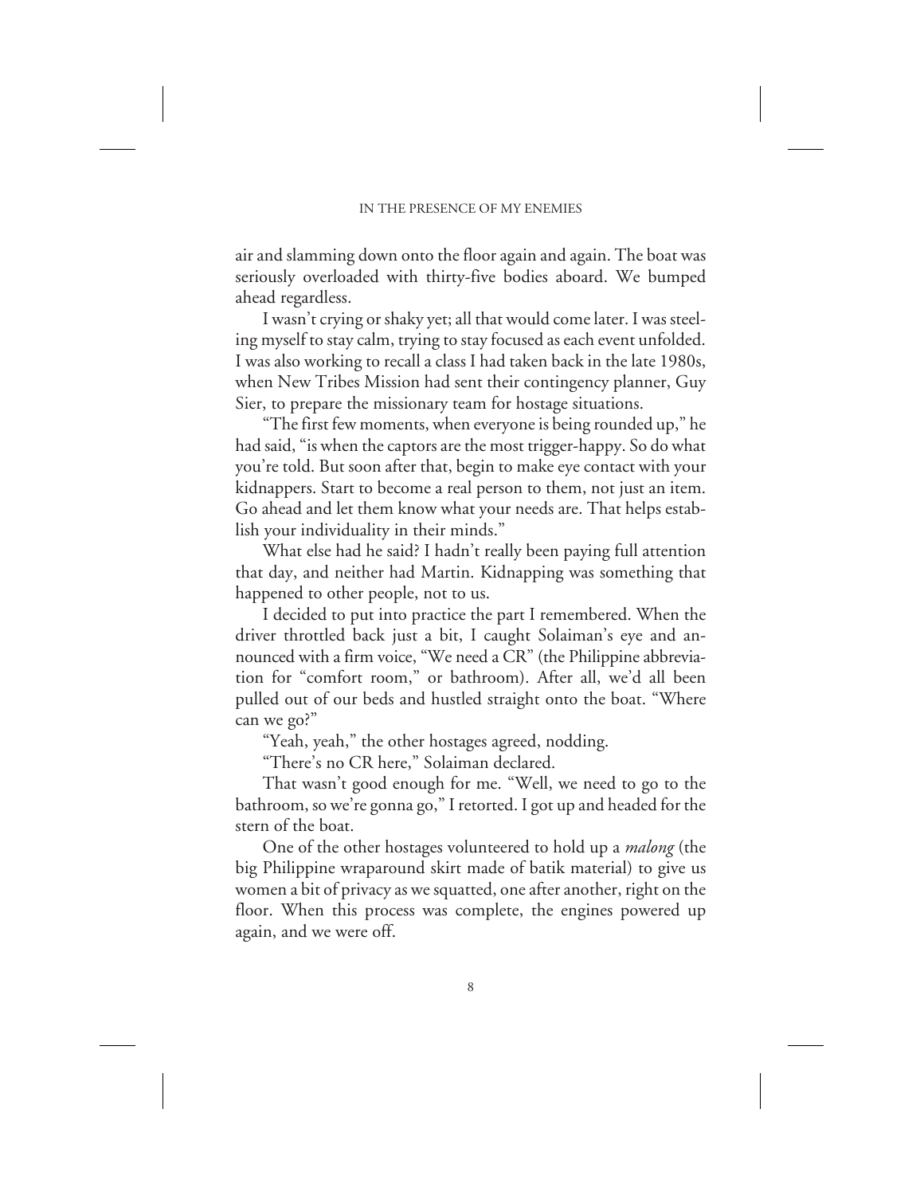air and slamming down onto the floor again and again. The boat was seriously overloaded with thirty-five bodies aboard. We bumped ahead regardless.

I wasn't crying or shaky yet; all that would come later. I was steeling myself to stay calm, trying to stay focused as each event unfolded. I was also working to recall a class I had taken back in the late 1980s, when New Tribes Mission had sent their contingency planner, Guy Sier, to prepare the missionary team for hostage situations.

"The first few moments, when everyone is being rounded up," he had said, "is when the captors are the most trigger-happy. So do what you're told. But soon after that, begin to make eye contact with your kidnappers. Start to become a real person to them, not just an item. Go ahead and let them know what your needs are. That helps establish your individuality in their minds."

What else had he said? I hadn't really been paying full attention that day, and neither had Martin. Kidnapping was something that happened to other people, not to us.

I decided to put into practice the part I remembered. When the driver throttled back just a bit, I caught Solaiman's eye and announced with a firm voice, "We need a CR" (the Philippine abbreviation for "comfort room," or bathroom). After all, we'd all been pulled out of our beds and hustled straight onto the boat. "Where can we go?"

"Yeah, yeah," the other hostages agreed, nodding.

"There's no CR here," Solaiman declared.

That wasn't good enough for me. "Well, we need to go to the bathroom, so we're gonna go," I retorted. I got up and headed for the stern of the boat.

One of the other hostages volunteered to hold up a *malong* (the big Philippine wraparound skirt made of batik material) to give us women a bit of privacy as we squatted, one after another, right on the floor. When this process was complete, the engines powered up again, and we were off.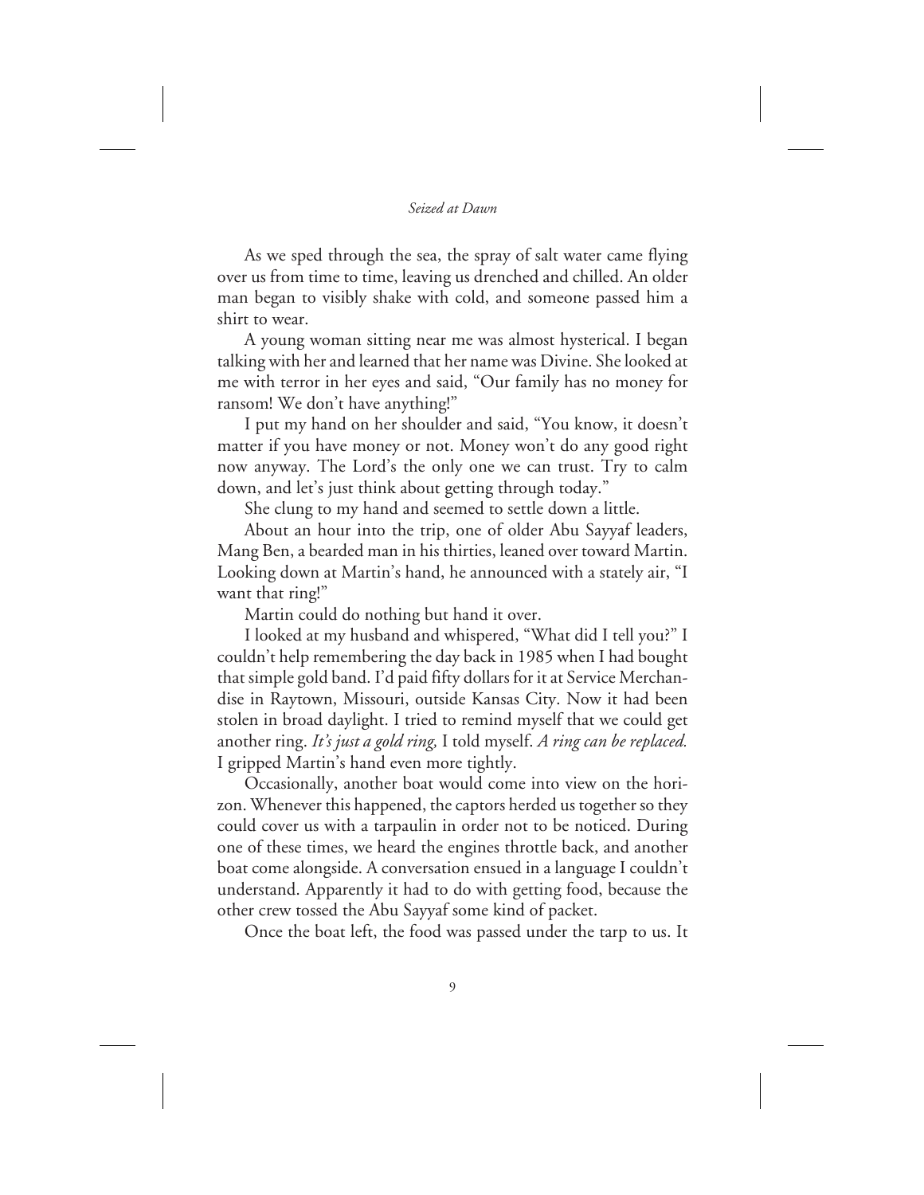As we sped through the sea, the spray of salt water came flying over us from time to time, leaving us drenched and chilled. An older man began to visibly shake with cold, and someone passed him a shirt to wear.

A young woman sitting near me was almost hysterical. I began talking with her and learned that her name was Divine. She looked at me with terror in her eyes and said, "Our family has no money for ransom! We don't have anything!"

I put my hand on her shoulder and said, "You know, it doesn't matter if you have money or not. Money won't do any good right now anyway. The Lord's the only one we can trust. Try to calm down, and let's just think about getting through today."

She clung to my hand and seemed to settle down a little.

About an hour into the trip, one of older Abu Sayyaf leaders, Mang Ben, a bearded man in his thirties, leaned over toward Martin. Looking down at Martin's hand, he announced with a stately air, "I want that ring!"

Martin could do nothing but hand it over.

I looked at my husband and whispered, "What did I tell you?" I couldn't help remembering the day back in 1985 when I had bought that simple gold band. I'd paid fifty dollars for it at Service Merchandise in Raytown, Missouri, outside Kansas City. Now it had been stolen in broad daylight. I tried to remind myself that we could get another ring. *It's just a gold ring,* I told myself. *A ring can be replaced.* I gripped Martin's hand even more tightly.

Occasionally, another boat would come into view on the horizon. Whenever this happened, the captors herded us together so they could cover us with a tarpaulin in order not to be noticed. During one of these times, we heard the engines throttle back, and another boat come alongside. A conversation ensued in a language I couldn't understand. Apparently it had to do with getting food, because the other crew tossed the Abu Sayyaf some kind of packet.

Once the boat left, the food was passed under the tarp to us. It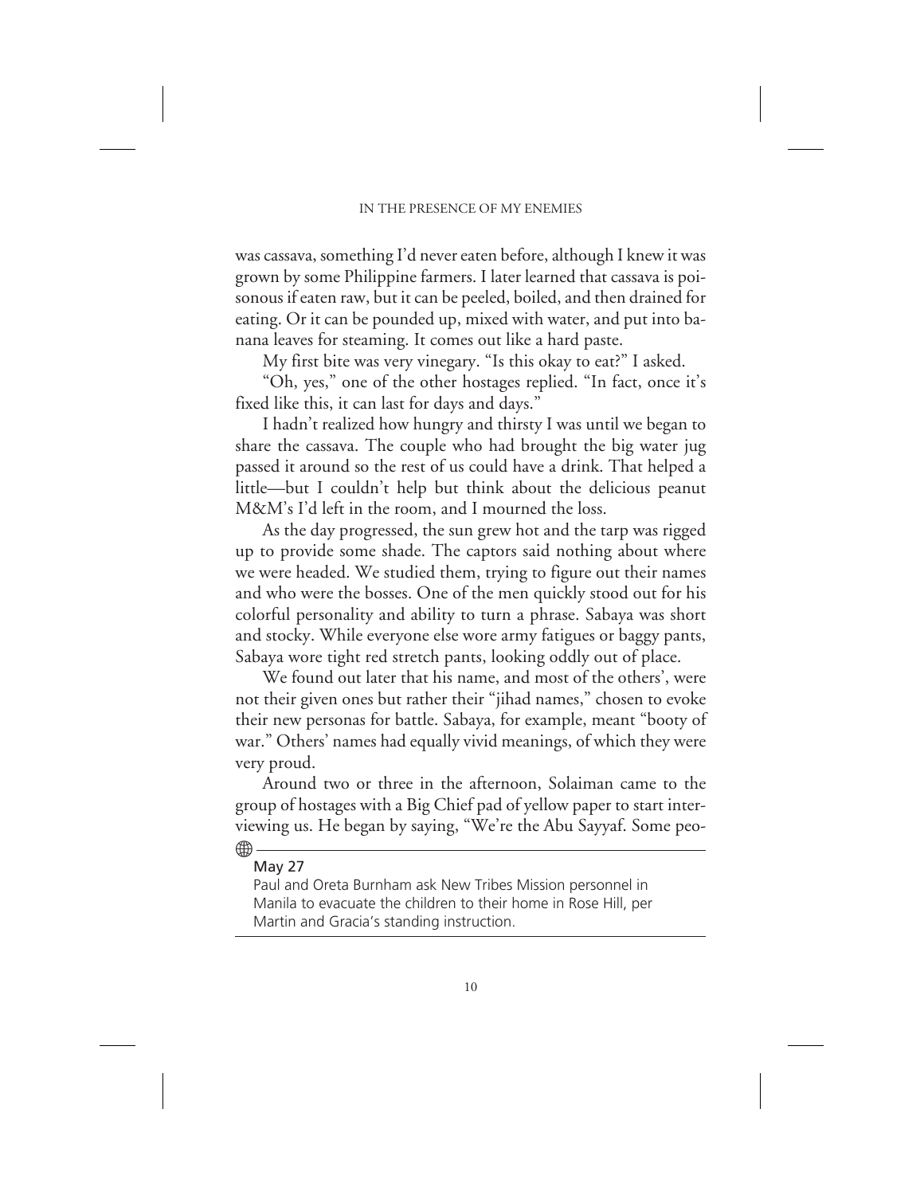was cassava, something I'd never eaten before, although I knew it was grown by some Philippine farmers. I later learned that cassava is poisonous if eaten raw, but it can be peeled, boiled, and then drained for eating. Or it can be pounded up, mixed with water, and put into banana leaves for steaming. It comes out like a hard paste.

My first bite was very vinegary. "Is this okay to eat?" I asked.

"Oh, yes," one of the other hostages replied. "In fact, once it's fixed like this, it can last for days and days."

I hadn't realized how hungry and thirsty I was until we began to share the cassava. The couple who had brought the big water jug passed it around so the rest of us could have a drink. That helped a little—but I couldn't help but think about the delicious peanut M&M's I'd left in the room, and I mourned the loss.

As the day progressed, the sun grew hot and the tarp was rigged up to provide some shade. The captors said nothing about where we were headed. We studied them, trying to figure out their names and who were the bosses. One of the men quickly stood out for his colorful personality and ability to turn a phrase. Sabaya was short and stocky. While everyone else wore army fatigues or baggy pants, Sabaya wore tight red stretch pants, looking oddly out of place.

We found out later that his name, and most of the others', were not their given ones but rather their "jihad names," chosen to evoke their new personas for battle. Sabaya, for example, meant "booty of war." Others' names had equally vivid meanings, of which they were very proud.

Around two or three in the afternoon, Solaiman came to the group of hostages with a Big Chief pad of yellow paper to start interviewing us. He began by saying, "We're the Abu Sayyaf. Some peo-∰

May 27

Paul and Oreta Burnham ask New Tribes Mission personnel in Manila to evacuate the children to their home in Rose Hill, per Martin and Gracia's standing instruction.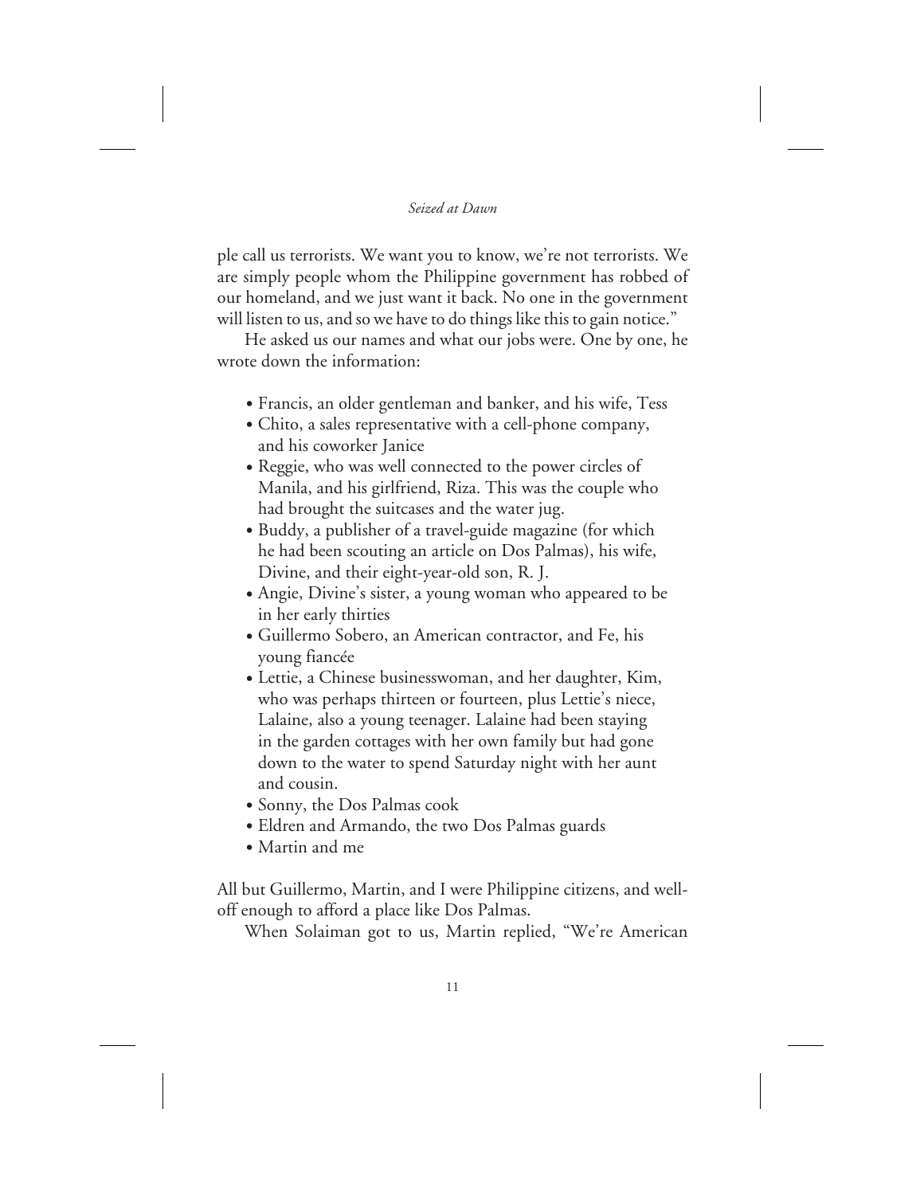ple call us terrorists. We want you to know, we're not terrorists. We are simply people whom the Philippine government has robbed of our homeland, and we just want it back. No one in the government will listen to us, and so we have to do things like this to gain notice."

He asked us our names and what our jobs were. One by one, he wrote down the information:

- .Francis, an older gentleman and banker, and his wife, Tess
- .Chito, a sales representative with a cell-phone company, and his coworker Janice
- Reggie, who was well connected to the power circles of Manila, and his girlfriend, Riza. This was the couple who had brought the suitcases and the water jug.
- .Buddy, a publisher of a travel-guide magazine (for which he had been scouting an article on Dos Palmas), his wife, Divine, and their eight-year-old son, R. J.
- .Angie, Divine's sister, a young woman who appeared to be in her early thirties
- .Guillermo Sobero, an American contractor, and Fe, his young fiancée
- .Lettie, a Chinese businesswoman, and her daughter, Kim, who was perhaps thirteen or fourteen, plus Lettie's niece, Lalaine, also a young teenager. Lalaine had been staying in the garden cottages with her own family but had gone down to the water to spend Saturday night with her aunt and cousin.
- . Sonny, the Dos Palmas cook
- .Eldren and Armando, the two Dos Palmas guards
- Eldren and Arn<br>• Martin and me

All but Guillermo, Martin, and I were Philippine citizens, and welloff enough to afford a place like Dos Palmas.

When Solaiman got to us, Martin replied, "We're American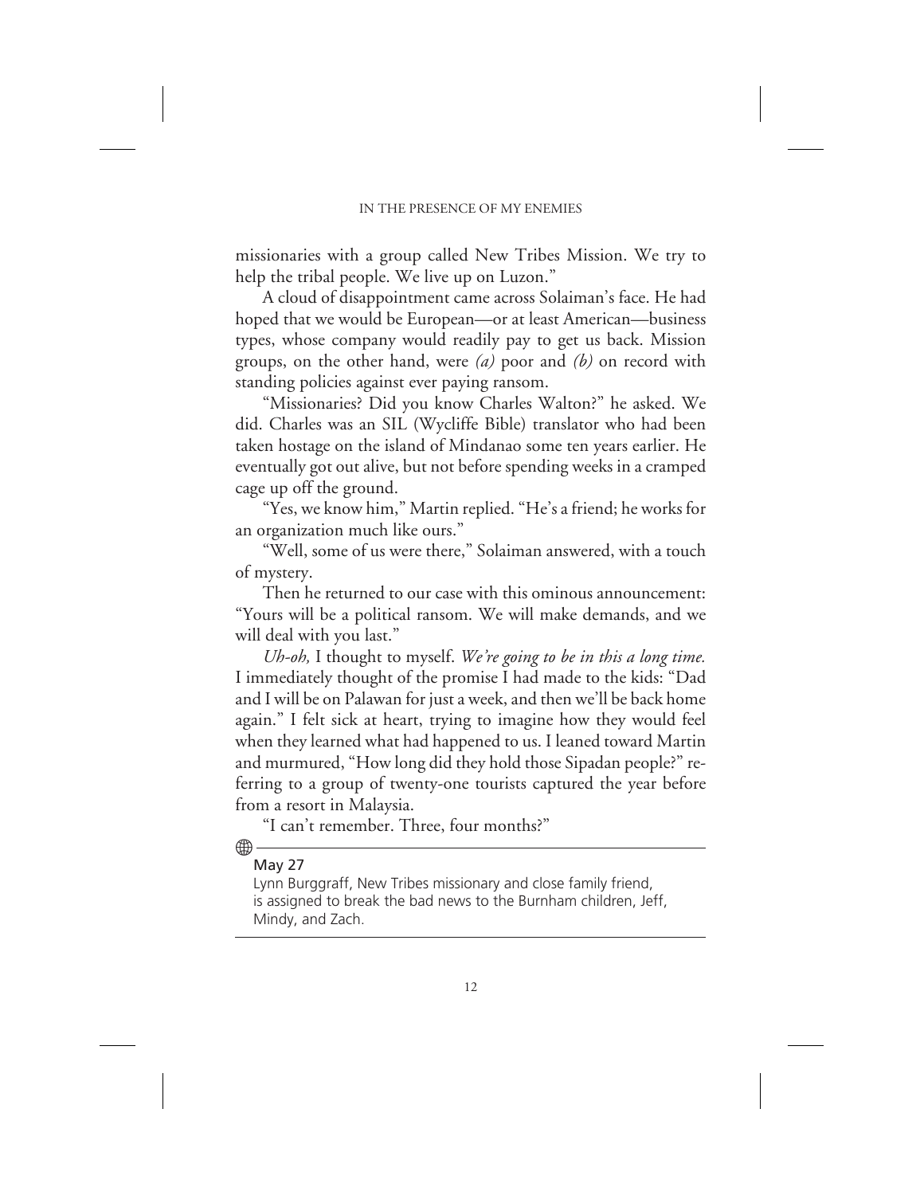missionaries with a group called New Tribes Mission. We try to help the tribal people. We live up on Luzon."

A cloud of disappointment came across Solaiman's face. He had hoped that we would be European—or at least American—business types, whose company would readily pay to get us back. Mission groups, on the other hand, were *(a)* poor and *(b)* on record with standing policies against ever paying ransom.

"Missionaries? Did you know Charles Walton?" he asked. We did. Charles was an SIL (Wycliffe Bible) translator who had been taken hostage on the island of Mindanao some ten years earlier. He eventually got out alive, but not before spending weeks in a cramped cage up off the ground.

"Yes, we know him," Martin replied. "He's a friend; he works for an organization much like ours."

"Well, some of us were there," Solaiman answered, with a touch of mystery.

Then he returned to our case with this ominous announcement: "Yours will be a political ransom. We will make demands, and we will deal with you last."

*Uh-oh,* I thought to myself. *We're going to be in this a long time.* I immediately thought of the promise I had made to the kids: "Dad and I will be on Palawan for just a week, and then we'll be back home again." I felt sick at heart, trying to imagine how they would feel when they learned what had happened to us. I leaned toward Martin and murmured, "How long did they hold those Sipadan people?" referring to a group of twenty-one tourists captured the year before from a resort in Malaysia.

"I can't remember. Three, four months?"

 $\oplus$ 

#### May 27

Lynn Burggraff, New Tribes missionary and close family friend, is assigned to break the bad news to the Burnham children, Jeff, Mindy, and Zach.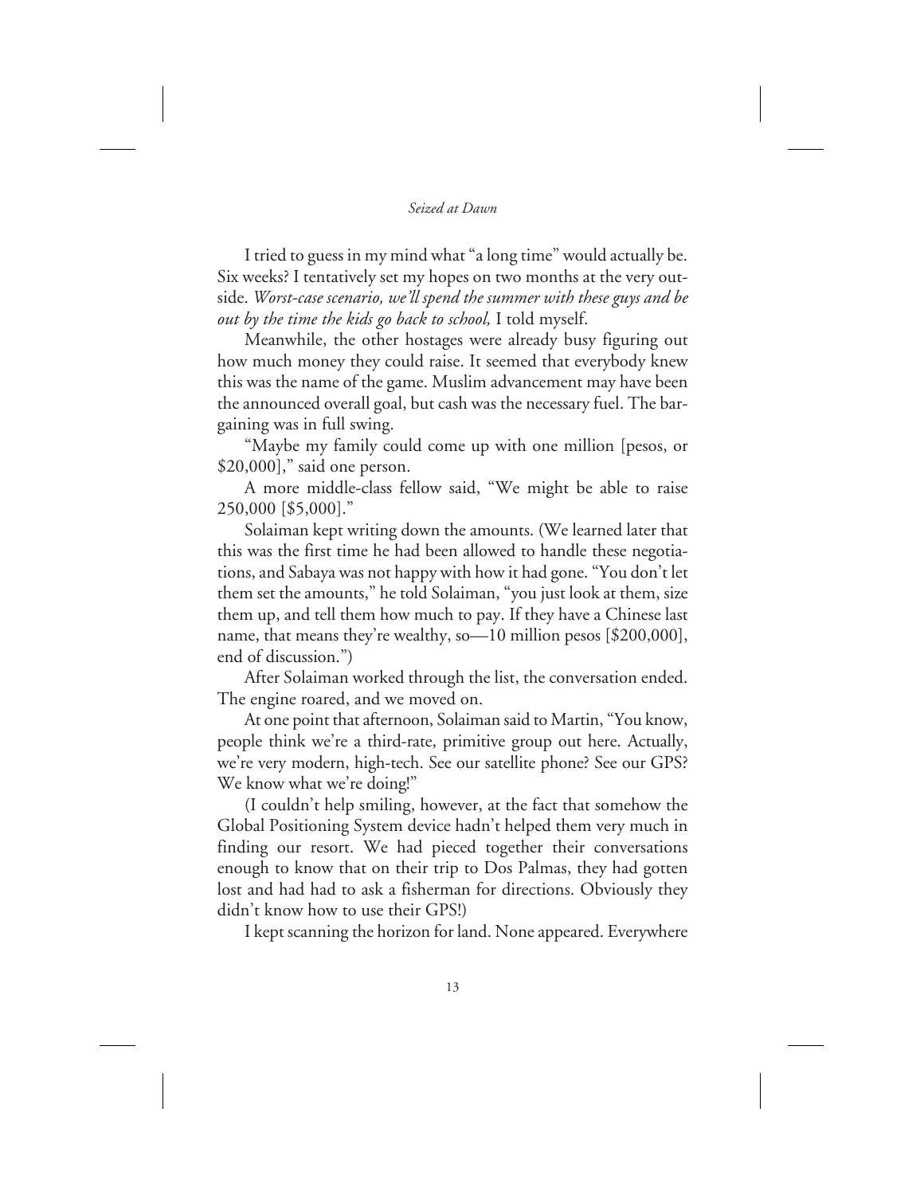I tried to guess in my mind what "a long time" would actually be. Six weeks? I tentatively set my hopes on two months at the very outside. *Worst-case scenario, we'll spend the summer with these guys and be out by the time the kids go back to school,* I told myself.

Meanwhile, the other hostages were already busy figuring out how much money they could raise. It seemed that everybody knew this was the name of the game. Muslim advancement may have been the announced overall goal, but cash was the necessary fuel. The bargaining was in full swing.

"Maybe my family could come up with one million [pesos, or \$20,000]," said one person.

A more middle-class fellow said, "We might be able to raise 250,000 [\$5,000]."

Solaiman kept writing down the amounts. (We learned later that this was the first time he had been allowed to handle these negotiations, and Sabaya was not happy with how it had gone. "You don't let them set the amounts," he told Solaiman, "you just look at them, size them up, and tell them how much to pay. If they have a Chinese last name, that means they're wealthy, so—10 million pesos [\$200,000], end of discussion.")

After Solaiman worked through the list, the conversation ended. The engine roared, and we moved on.

At one point that afternoon, Solaiman said to Martin, "You know, people think we're a third-rate, primitive group out here. Actually, we're very modern, high-tech. See our satellite phone? See our GPS? We know what we're doing!"

(I couldn't help smiling, however, at the fact that somehow the Global Positioning System device hadn't helped them very much in finding our resort. We had pieced together their conversations enough to know that on their trip to Dos Palmas, they had gotten lost and had had to ask a fisherman for directions. Obviously they didn't know how to use their GPS!)

I kept scanning the horizon for land. None appeared. Everywhere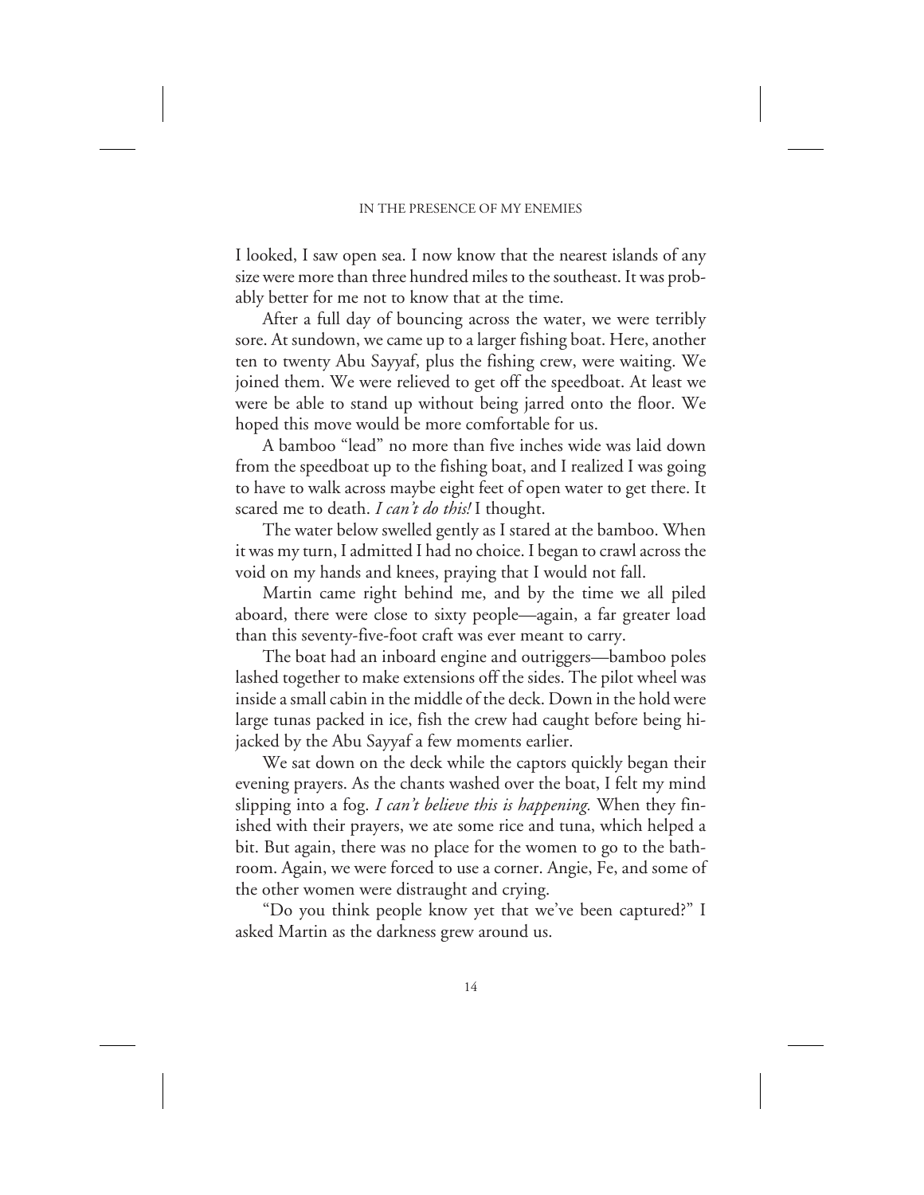I looked, I saw open sea. I now know that the nearest islands of any size were more than three hundred miles to the southeast. It was probably better for me not to know that at the time.

After a full day of bouncing across the water, we were terribly sore. At sundown, we came up to a larger fishing boat. Here, another ten to twenty Abu Sayyaf, plus the fishing crew, were waiting. We joined them. We were relieved to get off the speedboat. At least we were be able to stand up without being jarred onto the floor. We hoped this move would be more comfortable for us.

A bamboo "lead" no more than five inches wide was laid down from the speedboat up to the fishing boat, and I realized I was going to have to walk across maybe eight feet of open water to get there. It scared me to death. *I can't do this!* I thought.

The water below swelled gently as I stared at the bamboo. When it was my turn, I admitted I had no choice. I began to crawl across the void on my hands and knees, praying that I would not fall.

Martin came right behind me, and by the time we all piled aboard, there were close to sixty people—again, a far greater load than this seventy-five-foot craft was ever meant to carry.

The boat had an inboard engine and outriggers—bamboo poles lashed together to make extensions off the sides. The pilot wheel was inside a small cabin in the middle of the deck. Down in the hold were large tunas packed in ice, fish the crew had caught before being hijacked by the Abu Sayyaf a few moments earlier.

We sat down on the deck while the captors quickly began their evening prayers. As the chants washed over the boat, I felt my mind slipping into a fog. *I can't believe this is happening.* When they finished with their prayers, we ate some rice and tuna, which helped a bit. But again, there was no place for the women to go to the bathroom. Again, we were forced to use a corner. Angie, Fe, and some of the other women were distraught and crying.

"Do you think people know yet that we've been captured?" I asked Martin as the darkness grew around us.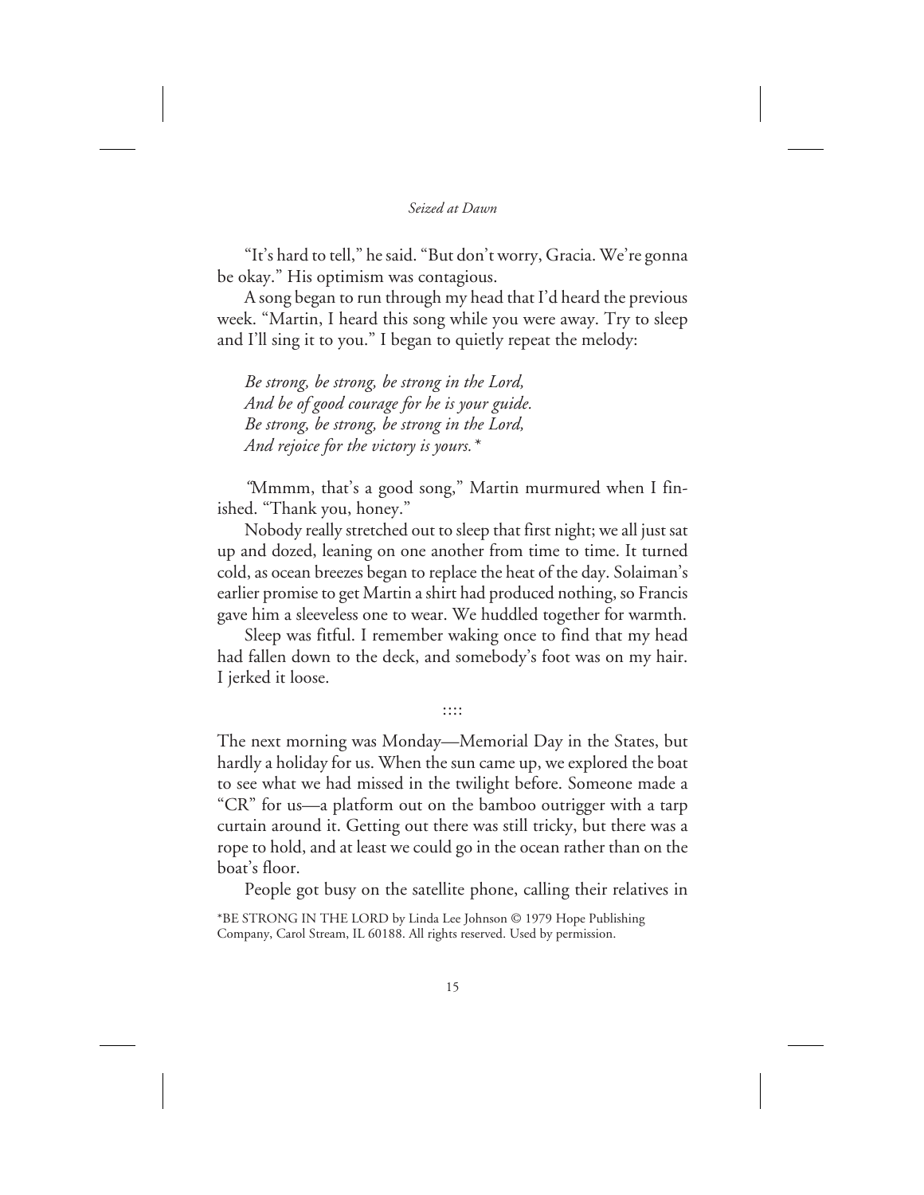"It's hard to tell," he said. "But don't worry, Gracia. We're gonna be okay." His optimism was contagious.

A song began to run through my head that I'd heard the previous week. "Martin, I heard this song while you were away. Try to sleep and I'll sing it to you." I began to quietly repeat the melody:

*Be strong, be strong, be strong in the Lord, And be of good courage for he is your guide. Be strong, be strong, be strong in the Lord, And rejoice for the victory is yours.\**

*"*Mmmm, that's a good song," Martin murmured when I finished. "Thank you, honey."

Nobody really stretched out to sleep that first night; we all just sat up and dozed, leaning on one another from time to time. It turned cold, as ocean breezes began to replace the heat of the day. Solaiman's earlier promise to get Martin a shirt had produced nothing, so Francis gave him a sleeveless one to wear. We huddled together for warmth.

Sleep was fitful. I remember waking once to find that my head had fallen down to the deck, and somebody's foot was on my hair. I jerked it loose.

::::

The next morning was Monday—Memorial Day in the States, but hardly a holiday for us. When the sun came up, we explored the boat to see what we had missed in the twilight before. Someone made a "CR" for us—a platform out on the bamboo outrigger with a tarp curtain around it. Getting out there was still tricky, but there was a rope to hold, and at least we could go in the ocean rather than on the boat's floor.

People got busy on the satellite phone, calling their relatives in

\*BE STRONG IN THE LORD by Linda Lee Johnson © 1979 Hope Publishing Company, Carol Stream, IL 60188. All rights reserved. Used by permission.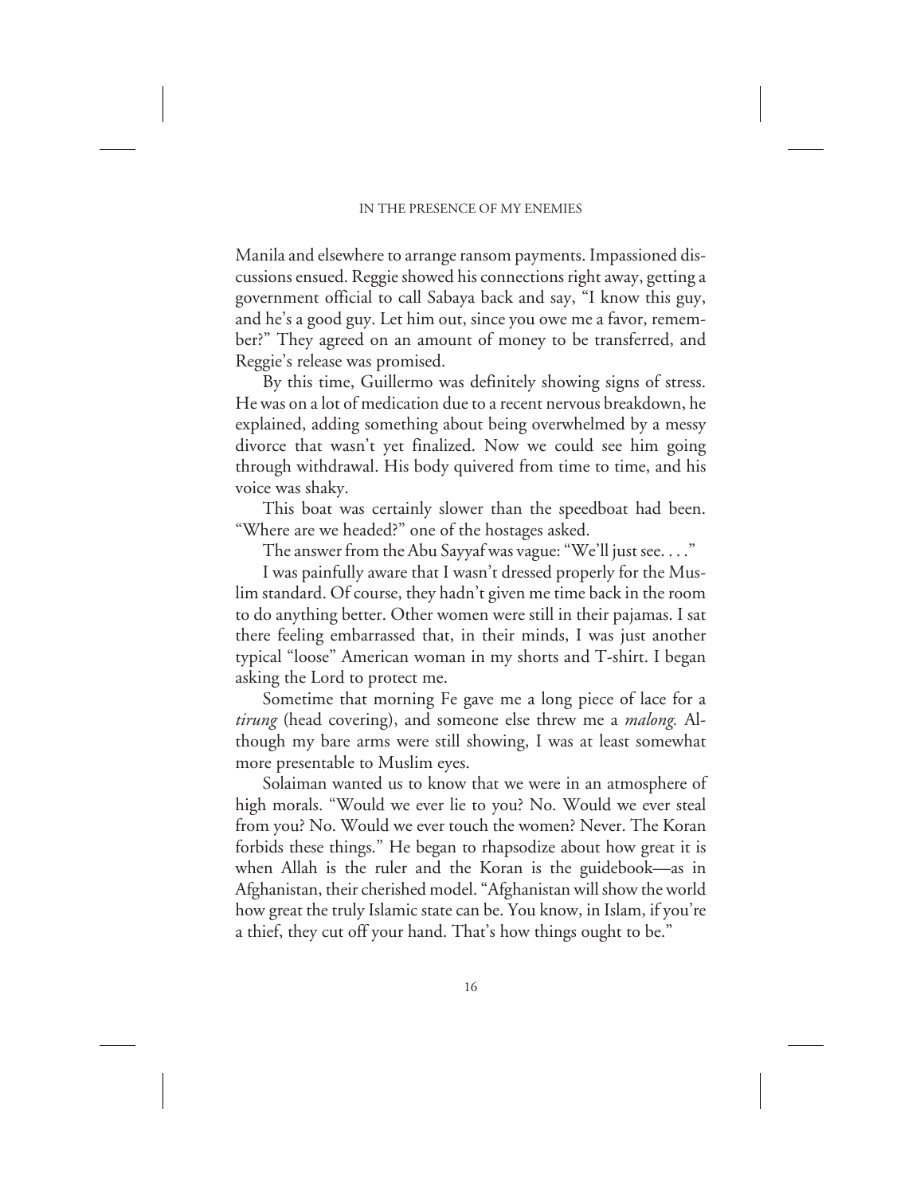Manila and elsewhere to arrange ransom payments. Impassioned discussions ensued. Reggie showed his connections right away, getting a government official to call Sabaya back and say, "I know this guy, and he's a good guy. Let him out, since you owe me a favor, remember?" They agreed on an amount of money to be transferred, and Reggie's release was promised.

By this time, Guillermo was definitely showing signs of stress. He was on a lot of medication due to a recent nervous breakdown, he explained, adding something about being overwhelmed by a messy divorce that wasn't yet finalized. Now we could see him going through withdrawal. His body quivered from time to time, and his voice was shaky.

This boat was certainly slower than the speedboat had been. "Where are we headed?" one of the hostages asked.

The answer from the Abu Sayyaf was vague: "We'll just see. . . ."

I was painfully aware that I wasn't dressed properly for the Muslim standard. Of course, they hadn't given me time back in the room to do anything better. Other women were still in their pajamas. I sat there feeling embarrassed that, in their minds, I was just another typical "loose" American woman in my shorts and T-shirt. I began asking the Lord to protect me.

Sometime that morning Fe gave me a long piece of lace for a *tirung* (head covering), and someone else threw me a *malong.* Although my bare arms were still showing, I was at least somewhat more presentable to Muslim eyes.

Solaiman wanted us to know that we were in an atmosphere of high morals. "Would we ever lie to you? No. Would we ever steal from you? No. Would we ever touch the women? Never. The Koran forbids these things." He began to rhapsodize about how great it is when Allah is the ruler and the Koran is the guidebook—as in Afghanistan, their cherished model. "Afghanistan will show the world how great the truly Islamic state can be. You know, in Islam, if you're a thief, they cut off your hand. That's how things ought to be."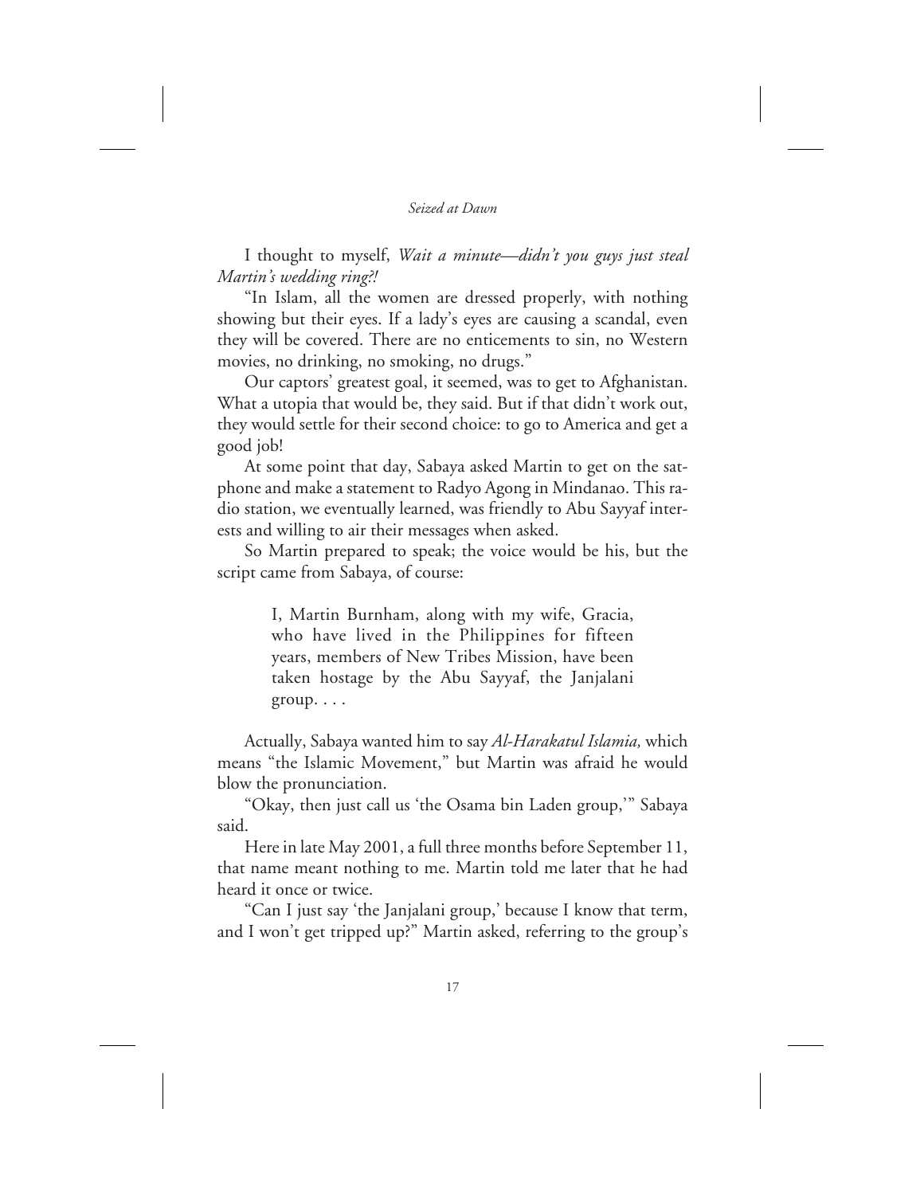I thought to myself, *Wait a minute—didn't you guys just steal Martin's wedding ring?!*

"In Islam, all the women are dressed properly, with nothing showing but their eyes. If a lady's eyes are causing a scandal, even they will be covered. There are no enticements to sin, no Western movies, no drinking, no smoking, no drugs."

Our captors' greatest goal, it seemed, was to get to Afghanistan. What a utopia that would be, they said. But if that didn't work out, they would settle for their second choice: to go to America and get a good job!

At some point that day, Sabaya asked Martin to get on the satphone and make a statement to Radyo Agong in Mindanao. This radio station, we eventually learned, was friendly to Abu Sayyaf interests and willing to air their messages when asked.

So Martin prepared to speak; the voice would be his, but the script came from Sabaya, of course:

> I, Martin Burnham, along with my wife, Gracia, who have lived in the Philippines for fifteen years, members of New Tribes Mission, have been taken hostage by the Abu Sayyaf, the Janjalani group....

Actually, Sabaya wanted him to say *Al-Harakatul Islamia,* which means "the Islamic Movement," but Martin was afraid he would blow the pronunciation.

"Okay, then just call us 'the Osama bin Laden group,'" Sabaya said.

Here in late May 2001, a full three months before September 11, that name meant nothing to me. Martin told me later that he had heard it once or twice.

"Can I just say 'the Janjalani group,' because I know that term, and I won't get tripped up?" Martin asked, referring to the group's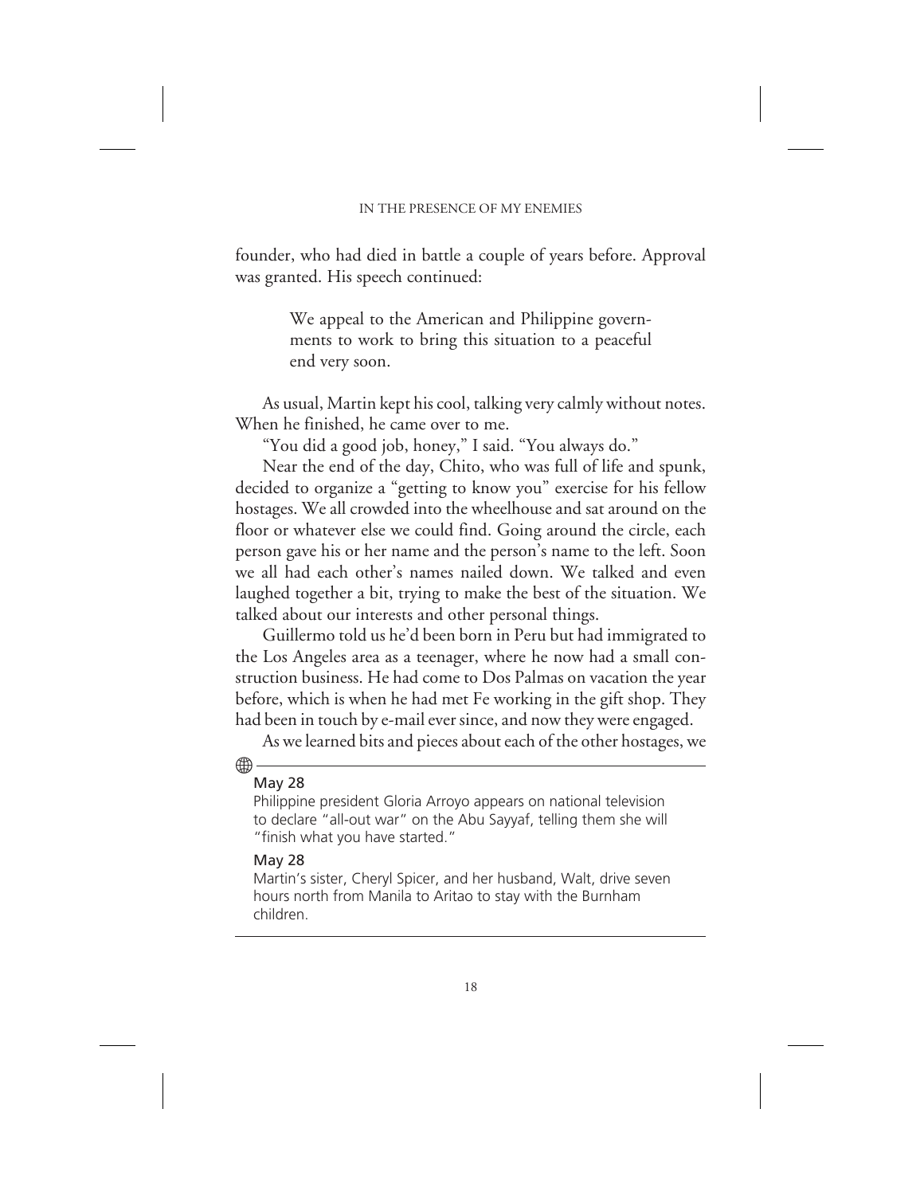founder, who had died in battle a couple of years before. Approval was granted. His speech continued:

> We appeal to the American and Philippine governments to work to bring this situation to a peaceful end very soon.

As usual, Martin kept his cool, talking very calmly without notes. When he finished, he came over to me.

"You did a good job, honey," I said. "You always do."

Near the end of the day, Chito, who was full of life and spunk, decided to organize a "getting to know you" exercise for his fellow hostages. We all crowded into the wheelhouse and sat around on the floor or whatever else we could find. Going around the circle, each person gave his or her name and the person's name to the left. Soon we all had each other's names nailed down. We talked and even laughed together a bit, trying to make the best of the situation. We talked about our interests and other personal things.

Guillermo told us he'd been born in Peru but had immigrated to the Los Angeles area as a teenager, where he now had a small construction business. He had come to Dos Palmas on vacation the year before, which is when he had met Fe working in the gift shop. They had been in touch by e-mail ever since, and now they were engaged.

As we learned bits and pieces about each of the other hostages, we

 $\oplus$ 

#### May 28

Philippine president Gloria Arroyo appears on national television to declare "all-out war" on the Abu Sayyaf, telling them she will "finish what you have started."

#### May 28

Martin's sister, Cheryl Spicer, and her husband, Walt, drive seven hours north from Manila to Aritao to stay with the Burnham children.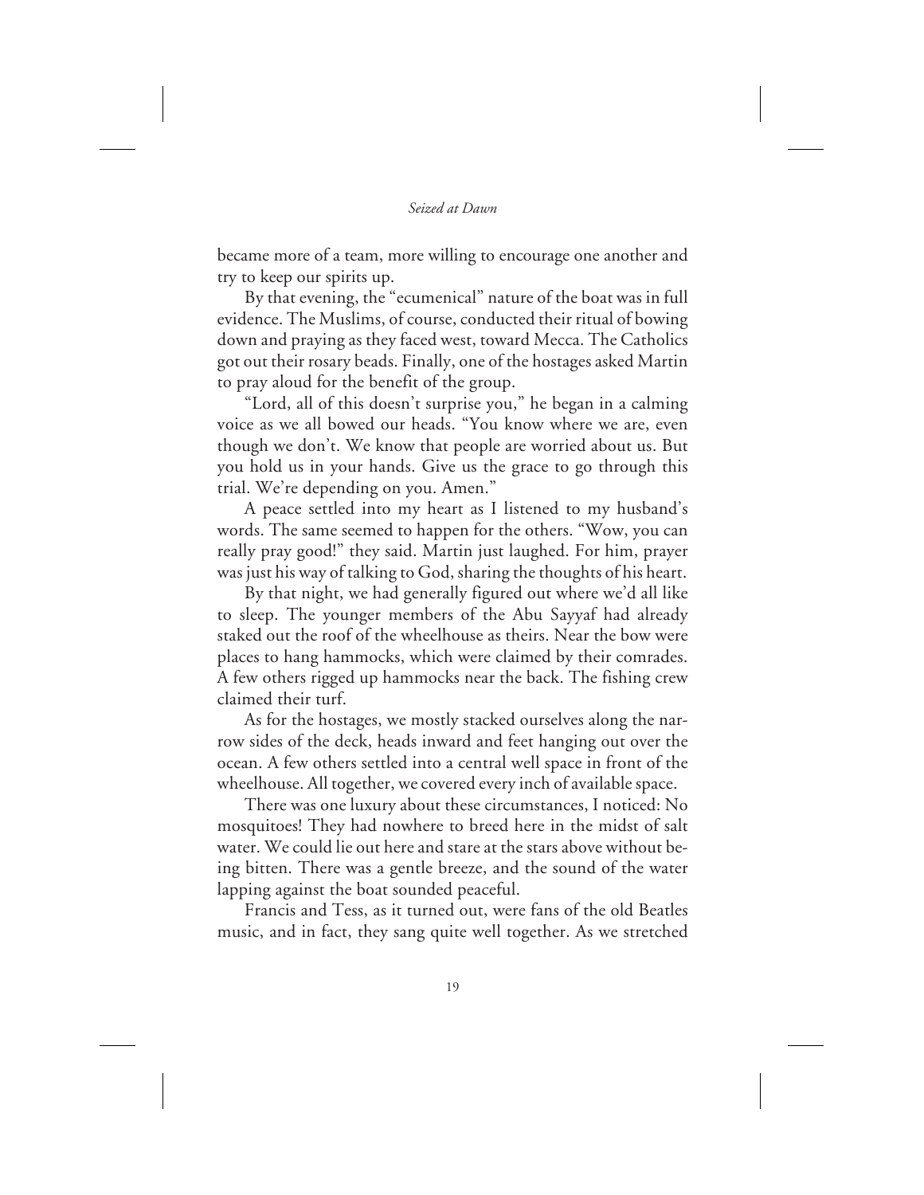became more of a team, more willing to encourage one another and try to keep our spirits up.

By that evening, the "ecumenical" nature of the boat was in full evidence. The Muslims, of course, conducted their ritual of bowing down and praying as they faced west, toward Mecca. The Catholics got out their rosary beads. Finally, one of the hostages asked Martin to pray aloud for the benefit of the group.

"Lord, all of this doesn't surprise you," he began in a calming voice as we all bowed our heads. "You know where we are, even though we don't. We know that people are worried about us. But you hold us in your hands. Give us the grace to go through this trial. We're depending on you. Amen."

A peace settled into my heart as I listened to my husband's words. The same seemed to happen for the others. "Wow, you can really pray good!" they said. Martin just laughed. For him, prayer was just his way of talking to God, sharing the thoughts of his heart.

By that night, we had generally figured out where we'd all like to sleep. The younger members of the Abu Sayyaf had already staked out the roof of the wheelhouse as theirs. Near the bow were places to hang hammocks, which were claimed by their comrades. A few others rigged up hammocks near the back. The fishing crew claimed their turf.

As for the hostages, we mostly stacked ourselves along the narrow sides of the deck, heads inward and feet hanging out over the ocean. A few others settled into a central well space in front of the wheelhouse. All together, we covered every inch of available space.

There was one luxury about these circumstances, I noticed: No mosquitoes! They had nowhere to breed here in the midst of salt water. We could lie out here and stare at the stars above without being bitten. There was a gentle breeze, and the sound of the water lapping against the boat sounded peaceful.

Francis and Tess, as it turned out, were fans of the old Beatles music, and in fact, they sang quite well together. As we stretched